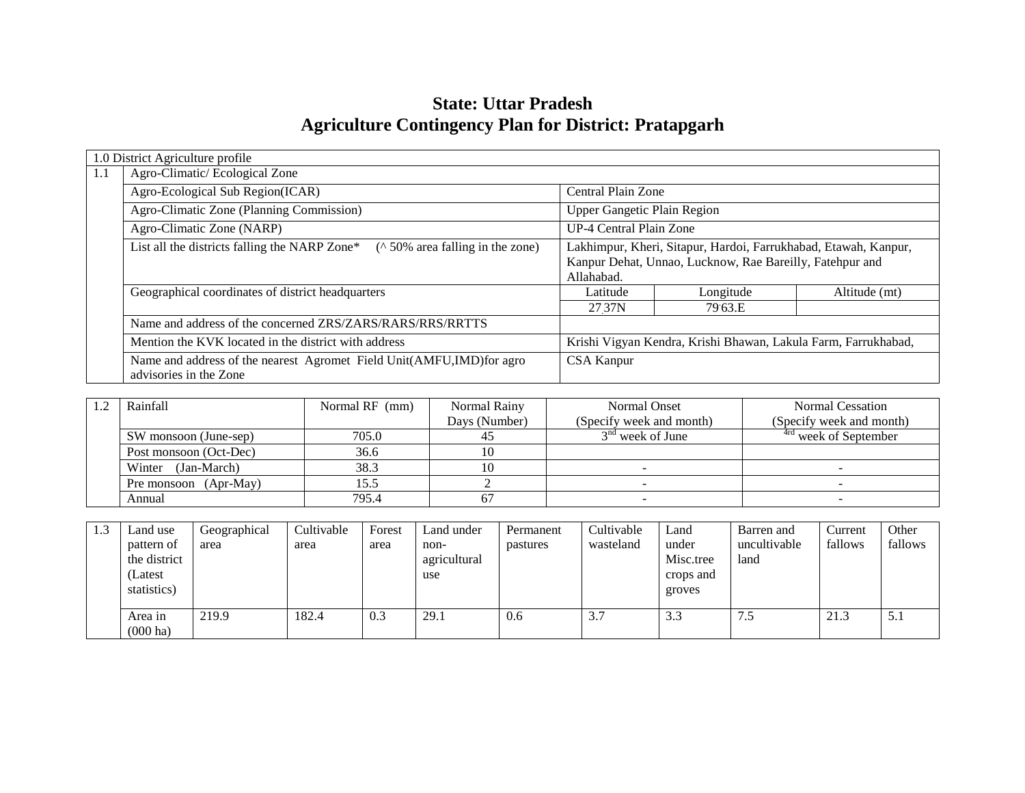# **State: Uttar Pradesh Agriculture Contingency Plan for District: Pratapgarh**

|     | 1.0 District Agriculture profile                                                               |                                                                                                                                           |           |               |  |  |  |  |  |  |
|-----|------------------------------------------------------------------------------------------------|-------------------------------------------------------------------------------------------------------------------------------------------|-----------|---------------|--|--|--|--|--|--|
| 1.1 | Agro-Climatic/Ecological Zone                                                                  |                                                                                                                                           |           |               |  |  |  |  |  |  |
|     | Agro-Ecological Sub Region(ICAR)                                                               | Central Plain Zone                                                                                                                        |           |               |  |  |  |  |  |  |
|     | Agro-Climatic Zone (Planning Commission)                                                       | <b>Upper Gangetic Plain Region</b>                                                                                                        |           |               |  |  |  |  |  |  |
|     | Agro-Climatic Zone (NARP)                                                                      | UP-4 Central Plain Zone                                                                                                                   |           |               |  |  |  |  |  |  |
|     | ( $\land$ 50% area falling in the zone)<br>List all the districts falling the NARP Zone*       | Lakhimpur, Kheri, Sitapur, Hardoi, Farrukhabad, Etawah, Kanpur,<br>Kanpur Dehat, Unnao, Lucknow, Rae Bareilly, Fatehpur and<br>Allahabad. |           |               |  |  |  |  |  |  |
|     | Geographical coordinates of district headquarters                                              | Latitude                                                                                                                                  | Longitude | Altitude (mt) |  |  |  |  |  |  |
|     |                                                                                                | 27 37 N                                                                                                                                   | 79.63.E   |               |  |  |  |  |  |  |
|     | Name and address of the concerned ZRS/ZARS/RARS/RRS/RRTTS                                      |                                                                                                                                           |           |               |  |  |  |  |  |  |
|     | Mention the KVK located in the district with address                                           | Krishi Vigyan Kendra, Krishi Bhawan, Lakula Farm, Farrukhabad,                                                                            |           |               |  |  |  |  |  |  |
|     | Name and address of the nearest Agromet Field Unit(AMFU,IMD)for agro<br>advisories in the Zone | CSA Kanpur                                                                                                                                |           |               |  |  |  |  |  |  |

| Rainfall               | Normal RF (mm) | Normal Rainy  | Normal Onset             | Normal Cessation                 |
|------------------------|----------------|---------------|--------------------------|----------------------------------|
|                        |                | Days (Number) | (Specify week and month) | (Specify week and month)         |
| SW monsoon (June-sep)  | 705.0          |               | $3nd$ week of June       | <sup>4rd</sup> week of September |
| Post monsoon (Oct-Dec) | 36.6           |               |                          |                                  |
| (Jan-March)<br>Winter  | 38.3           |               |                          |                                  |
| Pre monsoon (Apr-May)  | 15.5           |               |                          |                                  |
| Annual                 | 795.4          |               |                          |                                  |

| 1.3 | Land use<br>pattern of<br>the district<br>Latest<br>statistics) | Geographical<br>area | Cultivable<br>area | Forest<br>area | Land under<br>non-<br>agricultural<br>use | Permanent<br>pastures | Cultivable<br>wasteland | Land<br>under<br>Misc.tree<br>crops and<br>groves | Barren and<br>uncultivable<br>land | Current<br>fallows | Other<br>fallows |
|-----|-----------------------------------------------------------------|----------------------|--------------------|----------------|-------------------------------------------|-----------------------|-------------------------|---------------------------------------------------|------------------------------------|--------------------|------------------|
|     | Area in<br>$(000 \text{ ha})$                                   | 219.9                | 182.4              | 0.3            | 29.1                                      | 0.6                   | 3.7                     | 3.3                                               | $\sim$                             | 21.3               | J.I              |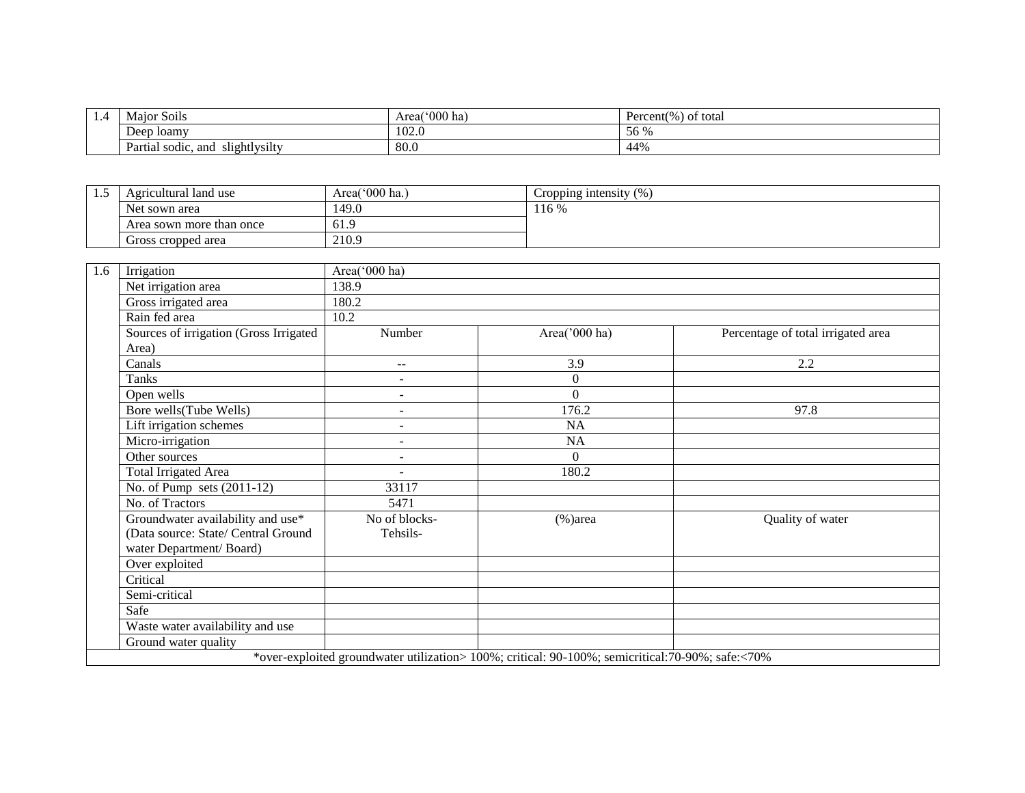| . 7 | .<br>Major Soils                           | $^{\circ}000$ ha<br>Area | Percent(%) of total |  |
|-----|--------------------------------------------|--------------------------|---------------------|--|
|     | Deep loamv                                 | $\sim$<br>1UZ.U          | 56 %                |  |
|     | slightlysilty<br>and<br>sodic.<br>Partial. | 80.0                     | 44%                 |  |

| . | Agricultural land use    | Area( $000$ ha.) | $\sqrt{2}$<br>Cropping intensity (%) |
|---|--------------------------|------------------|--------------------------------------|
|   | Net sown area            | 149.0            | 116 %                                |
|   | Area sown more than once | 61.9             |                                      |
|   | Gross cropped area       | 210.9            |                                      |

| 1.6 | Irrigation                                                                                        | Area('000 ha)            |               |                                    |  |  |  |  |  |  |
|-----|---------------------------------------------------------------------------------------------------|--------------------------|---------------|------------------------------------|--|--|--|--|--|--|
|     | Net irrigation area                                                                               | 138.9                    |               |                                    |  |  |  |  |  |  |
|     | Gross irrigated area                                                                              | 180.2                    |               |                                    |  |  |  |  |  |  |
|     | Rain fed area                                                                                     | 10.2                     |               |                                    |  |  |  |  |  |  |
|     | Sources of irrigation (Gross Irrigated                                                            | Number                   | Area('000 ha) | Percentage of total irrigated area |  |  |  |  |  |  |
|     | Area)                                                                                             |                          |               |                                    |  |  |  |  |  |  |
|     | Canals                                                                                            | $\sim$ $\sim$            | 3.9           | 2.2                                |  |  |  |  |  |  |
|     | Tanks                                                                                             | $\overline{\phantom{a}}$ | $\Omega$      |                                    |  |  |  |  |  |  |
|     | Open wells                                                                                        | ۰                        | $\Omega$      |                                    |  |  |  |  |  |  |
|     | Bore wells(Tube Wells)                                                                            | $\overline{a}$           | 176.2         | 97.8                               |  |  |  |  |  |  |
|     | Lift irrigation schemes                                                                           | $\overline{\phantom{a}}$ | <b>NA</b>     |                                    |  |  |  |  |  |  |
|     | Micro-irrigation                                                                                  | $\sim$                   | NA            |                                    |  |  |  |  |  |  |
|     | Other sources                                                                                     | $\overline{a}$           | $\Omega$      |                                    |  |  |  |  |  |  |
|     | Total Irrigated Area                                                                              |                          | 180.2         |                                    |  |  |  |  |  |  |
|     | No. of Pump sets $(2011-12)$                                                                      | 33117                    |               |                                    |  |  |  |  |  |  |
|     | No. of Tractors                                                                                   | 5471                     |               |                                    |  |  |  |  |  |  |
|     | Groundwater availability and use*                                                                 | No of blocks-            | $%$ )area     | Quality of water                   |  |  |  |  |  |  |
|     | (Data source: State/ Central Ground                                                               | Tehsils-                 |               |                                    |  |  |  |  |  |  |
|     | water Department/Board)                                                                           |                          |               |                                    |  |  |  |  |  |  |
|     | Over exploited                                                                                    |                          |               |                                    |  |  |  |  |  |  |
|     | Critical                                                                                          |                          |               |                                    |  |  |  |  |  |  |
|     | Semi-critical                                                                                     |                          |               |                                    |  |  |  |  |  |  |
|     | Safe                                                                                              |                          |               |                                    |  |  |  |  |  |  |
|     | Waste water availability and use                                                                  |                          |               |                                    |  |  |  |  |  |  |
|     | Ground water quality                                                                              |                          |               |                                    |  |  |  |  |  |  |
|     | *over-exploited groundwater utilization> 100%; critical: 90-100%; semicritical: 70-90%; safe:<70% |                          |               |                                    |  |  |  |  |  |  |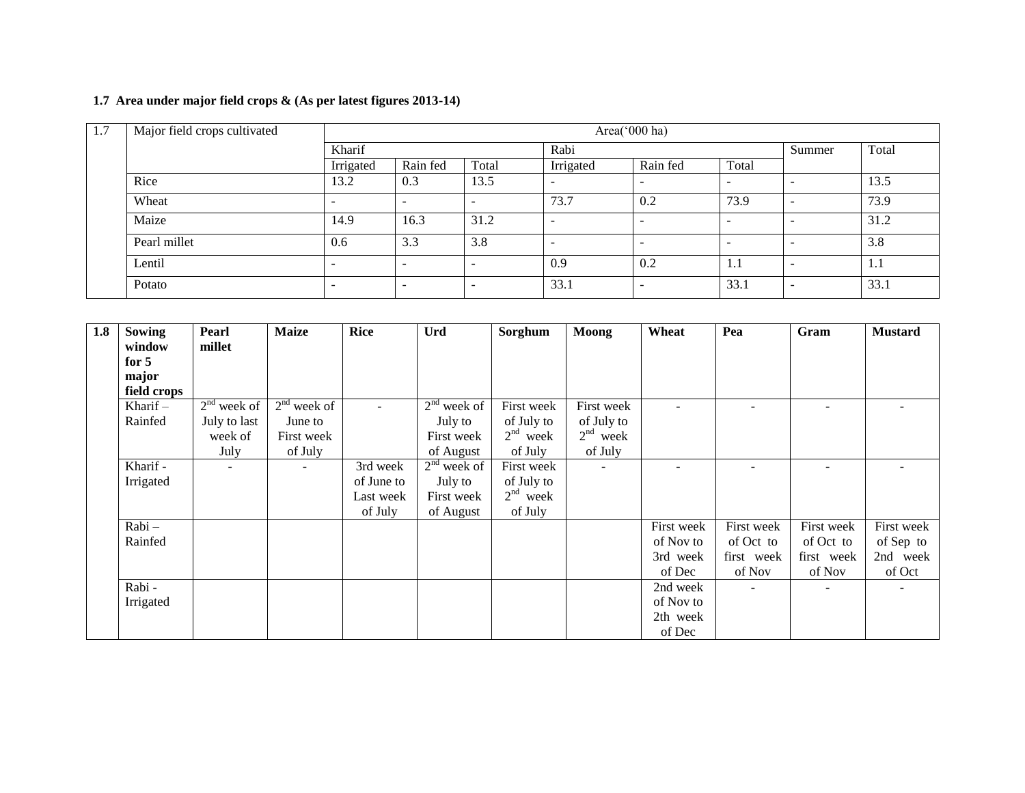# **1.7 Area under major field crops & (As per latest figures 2013-14)**

| 1.7 | Major field crops cultivated |                          | Area('000 ha) |       |           |                          |                          |   |       |  |  |  |
|-----|------------------------------|--------------------------|---------------|-------|-----------|--------------------------|--------------------------|---|-------|--|--|--|
|     |                              | Kharif                   |               | Rabi  |           |                          |                          |   | Total |  |  |  |
|     |                              | Irrigated                | Rain fed      | Total | Irrigated | Rain fed                 | Total                    |   |       |  |  |  |
|     | Rice                         | 13.2                     | 0.3           | 13.5  |           | $\overline{\phantom{a}}$ | $\overline{\phantom{a}}$ |   | 13.5  |  |  |  |
|     | Wheat                        | $\overline{\phantom{0}}$ | -             | -     | 73.7      | 0.2                      | 73.9                     | - | 73.9  |  |  |  |
|     | Maize                        | 14.9                     | 16.3          | 31.2  | -         | $\overline{\phantom{a}}$ | $\overline{\phantom{0}}$ |   | 31.2  |  |  |  |
|     | Pearl millet                 | 0.6                      | 3.3           | 3.8   |           | -                        | $\overline{\phantom{a}}$ |   | 3.8   |  |  |  |
|     | Lentil                       | ۰                        |               |       | 0.9       | 0.2                      | 1.1                      |   | 1.1   |  |  |  |
|     | Potato                       | $\overline{\phantom{0}}$ | -             |       | 33.1      | -                        | 33.1                     | - | 33.1  |  |  |  |

| 1.8 | <b>Sowing</b> | Pearl                    | <b>Maize</b>   | <b>Rice</b> | Urd           | Sorghum    | <b>Moong</b>             | Wheat      | Pea                      | Gram       | <b>Mustard</b> |
|-----|---------------|--------------------------|----------------|-------------|---------------|------------|--------------------------|------------|--------------------------|------------|----------------|
|     | window        | millet                   |                |             |               |            |                          |            |                          |            |                |
|     | for $5$       |                          |                |             |               |            |                          |            |                          |            |                |
|     | major         |                          |                |             |               |            |                          |            |                          |            |                |
|     | field crops   |                          |                |             |               |            |                          |            |                          |            |                |
|     | Kharif $-$    | $2nd$ week of            | $2nd$ week of  |             | $2nd$ week of | First week | First week               |            | $\overline{\phantom{a}}$ |            |                |
|     | Rainfed       | July to last             | June to        |             | July to       | of July to | of July to               |            |                          |            |                |
|     |               | week of                  | First week     |             | First week    | $2nd$ week | $2nd$ week               |            |                          |            |                |
|     |               | July                     | of July        |             | of August     | of July    | of July                  |            |                          |            |                |
|     | Kharif -      | $\overline{\phantom{a}}$ | $\blacksquare$ | 3rd week    | $2nd$ week of | First week | $\overline{\phantom{a}}$ |            |                          |            |                |
|     | Irrigated     |                          |                | of June to  | July to       | of July to |                          |            |                          |            |                |
|     |               |                          |                | Last week   | First week    | $2nd$ week |                          |            |                          |            |                |
|     |               |                          |                | of July     | of August     | of July    |                          |            |                          |            |                |
|     | $Rabi -$      |                          |                |             |               |            |                          | First week | First week               | First week | First week     |
|     | Rainfed       |                          |                |             |               |            |                          | of Nov to  | of Oct to                | of Oct to  | of Sep to      |
|     |               |                          |                |             |               |            |                          | 3rd week   | first week               | first week | 2nd week       |
|     |               |                          |                |             |               |            |                          | of Dec     | of Nov                   | of Nov     | of Oct         |
|     | Rabi -        |                          |                |             |               |            |                          | 2nd week   | ÷.                       | $\equiv$   |                |
|     | Irrigated     |                          |                |             |               |            |                          | of Nov to  |                          |            |                |
|     |               |                          |                |             |               |            |                          | 2th week   |                          |            |                |
|     |               |                          |                |             |               |            |                          | of Dec     |                          |            |                |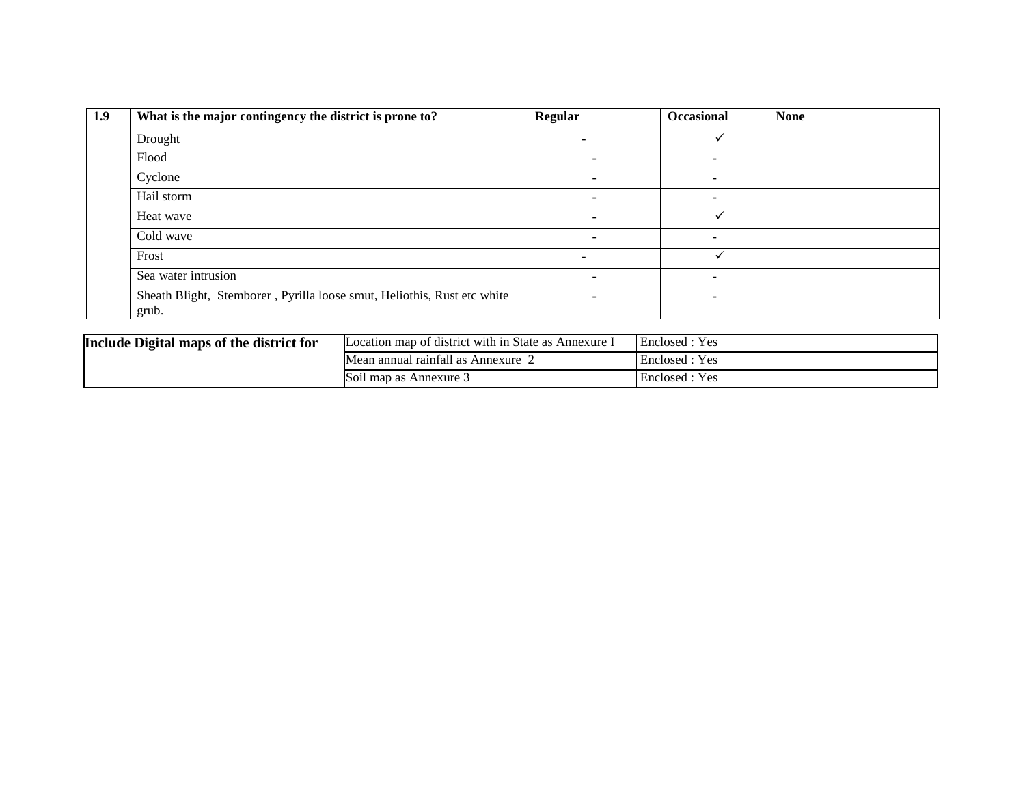| 1.9 | What is the major contingency the district is prone to?                          | <b>Regular</b> | <b>Occasional</b> | <b>None</b> |
|-----|----------------------------------------------------------------------------------|----------------|-------------------|-------------|
|     | Drought                                                                          |                |                   |             |
|     | Flood                                                                            |                |                   |             |
|     | Cyclone                                                                          |                |                   |             |
|     | Hail storm                                                                       |                |                   |             |
|     | Heat wave                                                                        |                |                   |             |
|     | Cold wave                                                                        |                |                   |             |
|     | Frost                                                                            |                |                   |             |
|     | Sea water intrusion                                                              |                |                   |             |
|     | Sheath Blight, Stemborer, Pyrilla loose smut, Heliothis, Rust etc white<br>grub. |                |                   |             |

| Include Digital maps of the district for | Location map of district with in State as Annexure 1 | Enclosed : Yes |
|------------------------------------------|------------------------------------------------------|----------------|
|                                          | Mean annual rainfall as Annexure                     | Enclosed : Yes |
|                                          | Soil map as Annexure 3                               | Enclosed : Yes |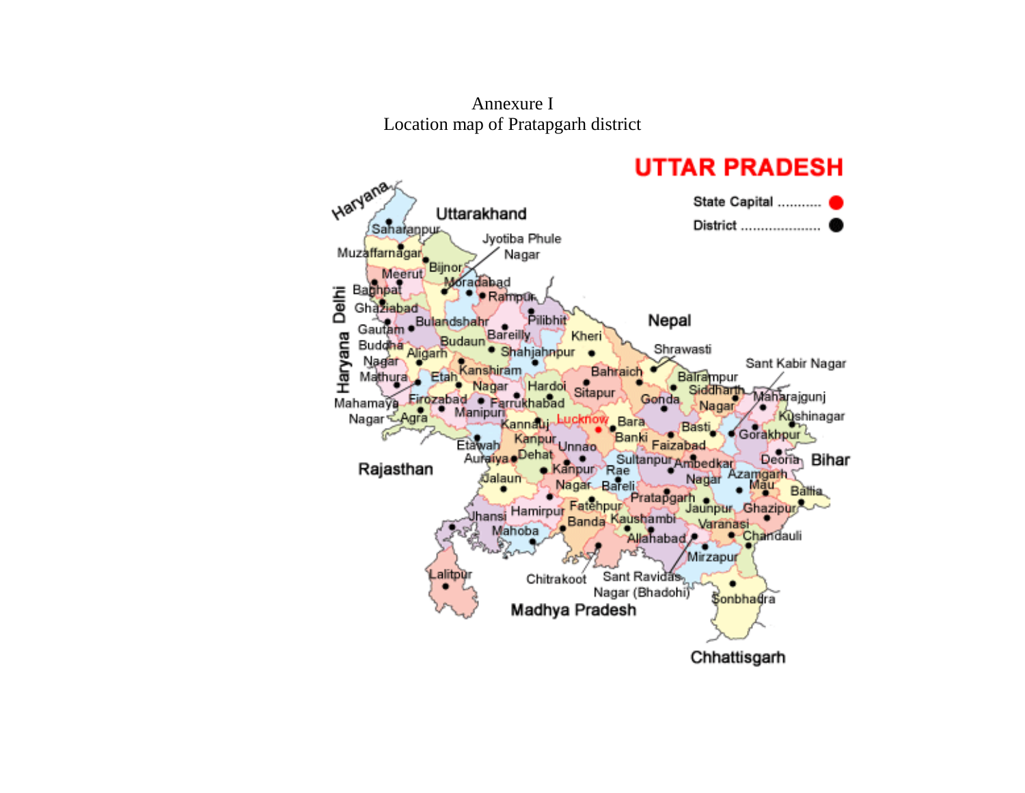Annexure I Location map of Pratapgarh district

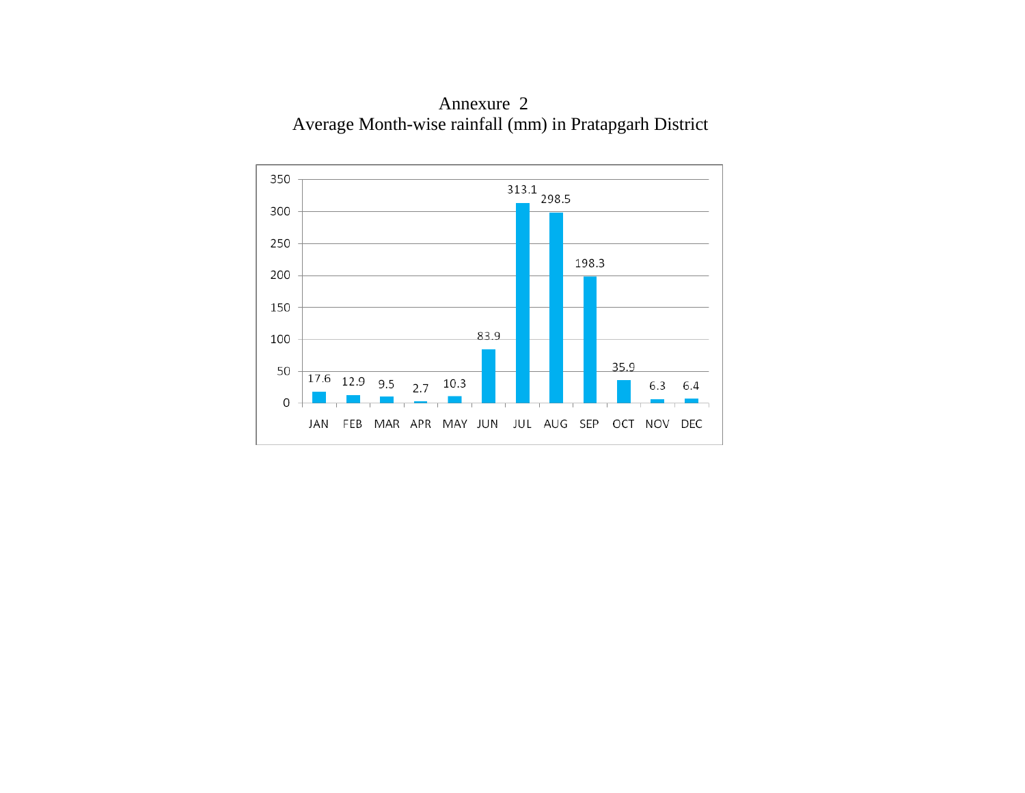

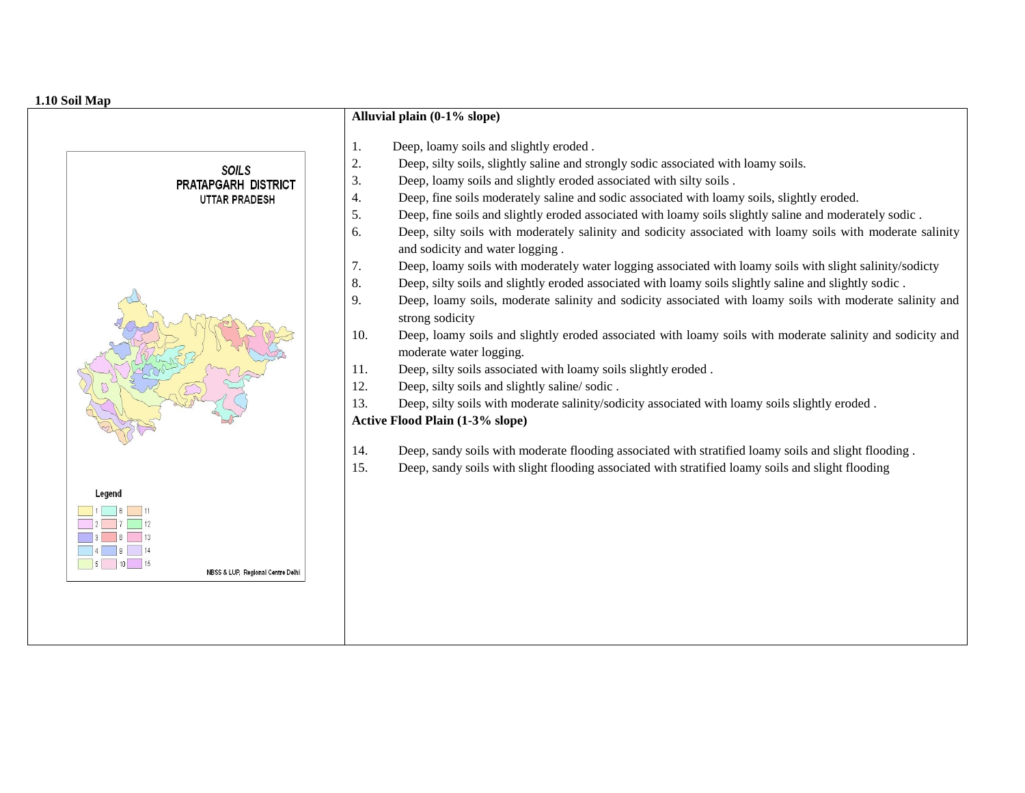#### **1.10 Soil Map**

|                                                              | Alluvial plain (0-1% slope)                                                                                                                                                                                                                                                                                                                                                                                                                                                                                                                                                                                                                                                                                                                                                                                                                                                                                                                                                                                                                                                                                                                                                                                                                                                                                                                                                                                                                                                                                                                                                                                                        |
|--------------------------------------------------------------|------------------------------------------------------------------------------------------------------------------------------------------------------------------------------------------------------------------------------------------------------------------------------------------------------------------------------------------------------------------------------------------------------------------------------------------------------------------------------------------------------------------------------------------------------------------------------------------------------------------------------------------------------------------------------------------------------------------------------------------------------------------------------------------------------------------------------------------------------------------------------------------------------------------------------------------------------------------------------------------------------------------------------------------------------------------------------------------------------------------------------------------------------------------------------------------------------------------------------------------------------------------------------------------------------------------------------------------------------------------------------------------------------------------------------------------------------------------------------------------------------------------------------------------------------------------------------------------------------------------------------------|
| <b>SOILS</b><br>PRATAPGARH DISTRICT<br><b>UTTAR PRADESH</b>  | Deep, loamy soils and slightly eroded.<br>1.<br>2.<br>Deep, silty soils, slightly saline and strongly sodic associated with loamy soils.<br>Deep, loamy soils and slightly eroded associated with silty soils.<br>3.<br>Deep, fine soils moderately saline and sodic associated with loamy soils, slightly eroded.<br>4.<br>5.<br>Deep, fine soils and slightly eroded associated with loamy soils slightly saline and moderately sodic.<br>Deep, silty soils with moderately salinity and sodicity associated with loamy soils with moderate salinity<br>6.<br>and sodicity and water logging.<br>Deep, loamy soils with moderately water logging associated with loamy soils with slight salinity/sodicty<br>7.<br>8.<br>Deep, silty soils and slightly eroded associated with loamy soils slightly saline and slightly sodic.<br>Deep, loamy soils, moderate salinity and sodicity associated with loamy soils with moderate salinity and<br>9.<br>strong sodicity<br>Deep, loamy soils and slightly eroded associated with loamy soils with moderate salinity and sodicity and<br>10.<br>moderate water logging.<br>Deep, silty soils associated with loamy soils slightly eroded.<br>11.<br>Deep, silty soils and slightly saline/sodic.<br>12.<br>13.<br>Deep, silty soils with moderate salinity/sodicity associated with loamy soils slightly eroded.<br><b>Active Flood Plain (1-3% slope)</b><br>14.<br>Deep, sandy soils with moderate flooding associated with stratified loamy soils and slight flooding.<br>Deep, sandy soils with slight flooding associated with stratified loamy soils and slight flooding<br>15. |
| Legend<br>$\blacksquare$<br>NBSS & LUP, Regional Centre Delh |                                                                                                                                                                                                                                                                                                                                                                                                                                                                                                                                                                                                                                                                                                                                                                                                                                                                                                                                                                                                                                                                                                                                                                                                                                                                                                                                                                                                                                                                                                                                                                                                                                    |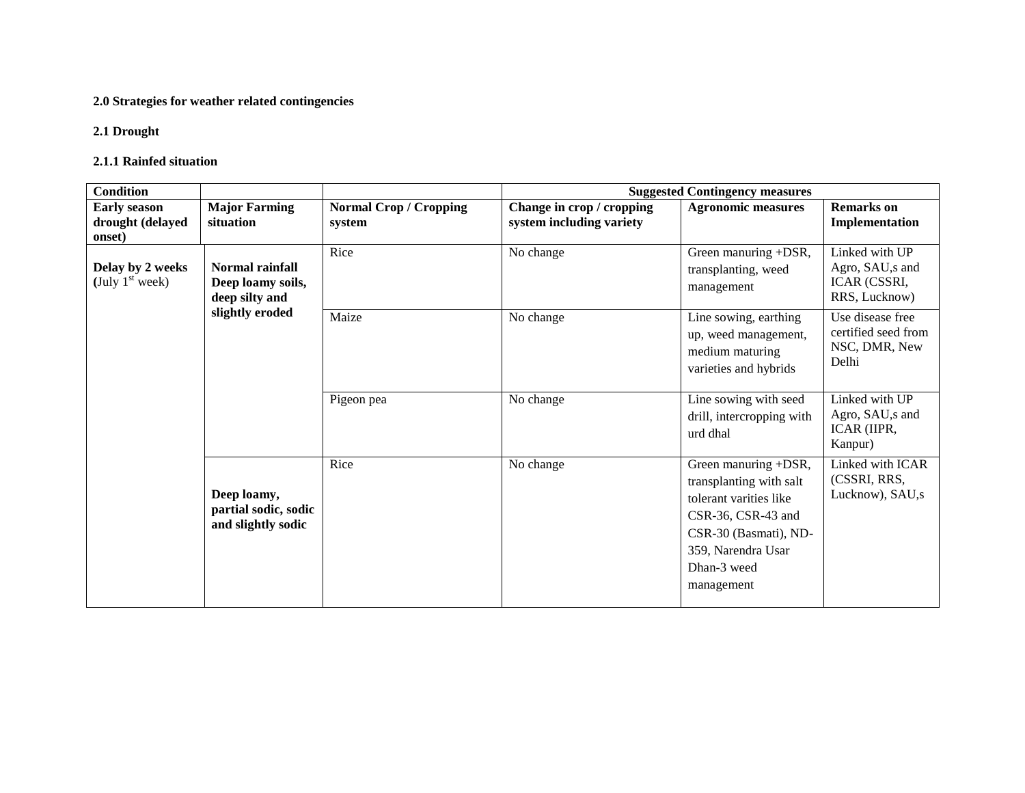# **2.0 Strategies for weather related contingencies**

#### **2.1 Drought**

#### **2.1.1 Rainfed situation**

| <b>Condition</b>                                  |                                                           |                                         | <b>Suggested Contingency measures</b>                 |                                                                                                                                                                             |                                                                     |  |
|---------------------------------------------------|-----------------------------------------------------------|-----------------------------------------|-------------------------------------------------------|-----------------------------------------------------------------------------------------------------------------------------------------------------------------------------|---------------------------------------------------------------------|--|
| <b>Early season</b><br>drought (delayed<br>onset) | <b>Major Farming</b><br>situation                         | <b>Normal Crop / Cropping</b><br>system | Change in crop / cropping<br>system including variety | <b>Agronomic measures</b>                                                                                                                                                   | <b>Remarks</b> on<br>Implementation                                 |  |
| Delay by 2 weeks<br>(July $1st$ week)             | Normal rainfall<br>Deep loamy soils,<br>deep silty and    | Rice                                    | No change                                             | Green manuring +DSR,<br>transplanting, weed<br>management                                                                                                                   | Linked with UP<br>Agro, SAU, s and<br>ICAR (CSSRI,<br>RRS, Lucknow) |  |
|                                                   | slightly eroded                                           | Maize                                   | No change                                             | Line sowing, earthing<br>up, weed management,<br>medium maturing<br>varieties and hybrids                                                                                   | Use disease free<br>certified seed from<br>NSC, DMR, New<br>Delhi   |  |
|                                                   |                                                           | Pigeon pea                              | No change                                             | Line sowing with seed<br>drill, intercropping with<br>urd dhal                                                                                                              | Linked with UP<br>Agro, SAU, s and<br>ICAR (IIPR,<br>Kanpur)        |  |
|                                                   | Deep loamy,<br>partial sodic, sodic<br>and slightly sodic | Rice                                    | No change                                             | Green manuring +DSR,<br>transplanting with salt<br>tolerant varities like<br>CSR-36, CSR-43 and<br>CSR-30 (Basmati), ND-<br>359, Narendra Usar<br>Dhan-3 weed<br>management | Linked with ICAR<br>(CSSRI, RRS,<br>Lucknow), SAU,s                 |  |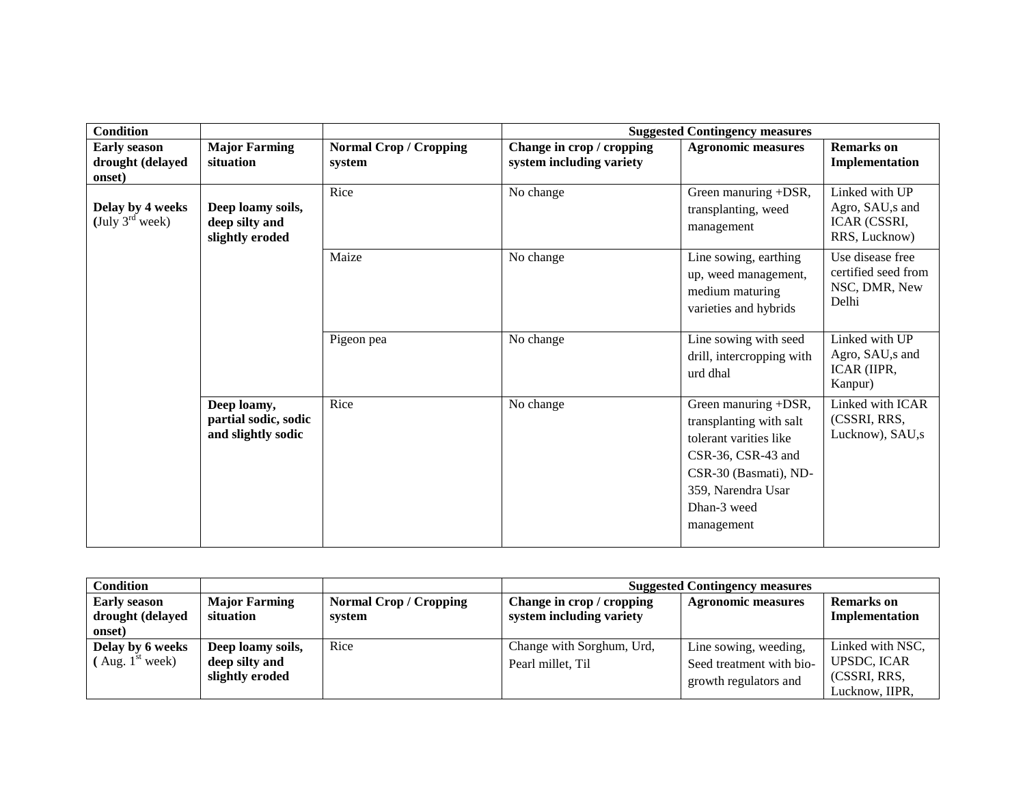| <b>Condition</b>                                  |                                                           |                                         | <b>Suggested Contingency measures</b>                 |                                                                                                                                                                             |                                                                     |  |
|---------------------------------------------------|-----------------------------------------------------------|-----------------------------------------|-------------------------------------------------------|-----------------------------------------------------------------------------------------------------------------------------------------------------------------------------|---------------------------------------------------------------------|--|
| <b>Early season</b><br>drought (delayed<br>onset) | <b>Major Farming</b><br>situation                         | <b>Normal Crop / Cropping</b><br>system | Change in crop / cropping<br>system including variety | <b>Agronomic measures</b>                                                                                                                                                   | <b>Remarks</b> on<br>Implementation                                 |  |
| Delay by 4 weeks<br>(July $3^{\text{rd}}$ week)   | Deep loamy soils,<br>deep silty and<br>slightly eroded    | Rice                                    | No change                                             | Green manuring +DSR,<br>transplanting, weed<br>management                                                                                                                   | Linked with UP<br>Agro, SAU, s and<br>ICAR (CSSRI,<br>RRS, Lucknow) |  |
|                                                   |                                                           | Maize                                   | No change                                             | Line sowing, earthing<br>up, weed management,<br>medium maturing<br>varieties and hybrids                                                                                   | Use disease free<br>certified seed from<br>NSC, DMR, New<br>Delhi   |  |
|                                                   |                                                           | Pigeon pea                              | No change                                             | Line sowing with seed<br>drill, intercropping with<br>urd dhal                                                                                                              | Linked with UP<br>Agro, SAU,s and<br>ICAR (IIPR,<br>Kanpur)         |  |
|                                                   | Deep loamy,<br>partial sodic, sodic<br>and slightly sodic | Rice                                    | No change                                             | Green manuring +DSR,<br>transplanting with salt<br>tolerant varities like<br>CSR-36, CSR-43 and<br>CSR-30 (Basmati), ND-<br>359, Narendra Usar<br>Dhan-3 weed<br>management | Linked with ICAR<br>(CSSRI, RRS,<br>Lucknow), SAU,s                 |  |

| Condition                  |                                   |                               | <b>Suggested Contingency measures</b> |                           |                   |
|----------------------------|-----------------------------------|-------------------------------|---------------------------------------|---------------------------|-------------------|
| <b>Early season</b>        | <b>Major Farming</b><br>situation | <b>Normal Crop / Cropping</b> | Change in crop / cropping             | <b>Agronomic measures</b> | <b>Remarks</b> on |
| drought (delayed<br>onset) |                                   | system                        | system including variety              |                           | Implementation    |
|                            |                                   |                               |                                       |                           |                   |
| Delay by 6 weeks           | Deep loamy soils,                 | Rice                          | Change with Sorghum, Urd,             | Line sowing, weeding,     | Linked with NSC,  |
| Aug. $1^{\text{st}}$ week) | deep silty and                    |                               | Pearl millet, Til                     | Seed treatment with bio-  | UPSDC, ICAR       |
|                            | slightly eroded                   |                               |                                       | growth regulators and     | (CSSRI, RRS.      |
|                            |                                   |                               |                                       | Lucknow. IIPR.            |                   |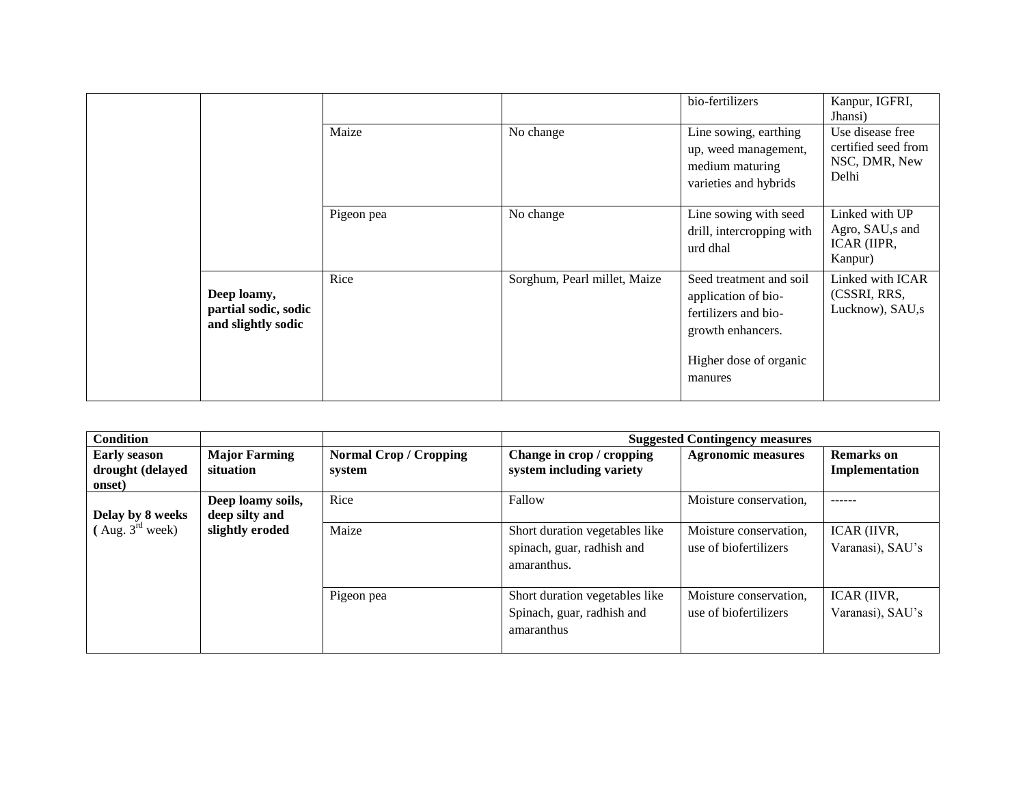|                                                           |            |                              | bio-fertilizers                                                                                                                  | Kanpur, IGFRI,<br>Jhansi)                                         |
|-----------------------------------------------------------|------------|------------------------------|----------------------------------------------------------------------------------------------------------------------------------|-------------------------------------------------------------------|
|                                                           | Maize      | No change                    | Line sowing, earthing<br>up, weed management,<br>medium maturing<br>varieties and hybrids                                        | Use disease free<br>certified seed from<br>NSC, DMR, New<br>Delhi |
|                                                           | Pigeon pea | No change                    | Line sowing with seed<br>drill, intercropping with<br>urd dhal                                                                   | Linked with UP<br>Agro, SAU, s and<br>ICAR (IIPR,<br>Kanpur)      |
| Deep loamy,<br>partial sodic, sodic<br>and slightly sodic | Rice       | Sorghum, Pearl millet, Maize | Seed treatment and soil<br>application of bio-<br>fertilizers and bio-<br>growth enhancers.<br>Higher dose of organic<br>manures | Linked with ICAR<br>(CSSRI, RRS,<br>Lucknow), SAU,s               |

| <b>Condition</b>                                  |                                     |                                         |                                                                             | <b>Suggested Contingency measures</b>           |                                     |
|---------------------------------------------------|-------------------------------------|-----------------------------------------|-----------------------------------------------------------------------------|-------------------------------------------------|-------------------------------------|
| <b>Early season</b><br>drought (delayed<br>onset) | <b>Major Farming</b><br>situation   | <b>Normal Crop / Cropping</b><br>system | Change in crop / cropping<br>system including variety                       | <b>Agronomic measures</b>                       | <b>Remarks</b> on<br>Implementation |
| Delay by 8 weeks                                  | Deep loamy soils,<br>deep silty and | Rice                                    | Fallow                                                                      | Moisture conservation,                          |                                     |
| $($ Aug. $3^{\text{rd}}$ week)                    | slightly eroded                     | Maize                                   | Short duration vegetables like<br>spinach, guar, radhish and<br>amaranthus. | Moisture conservation,<br>use of biofertilizers | ICAR (IIVR,<br>Varanasi), SAU's     |
|                                                   |                                     | Pigeon pea                              | Short duration vegetables like<br>Spinach, guar, radhish and<br>amaranthus  | Moisture conservation,<br>use of biofertilizers | ICAR (IIVR,<br>Varanasi), SAU's     |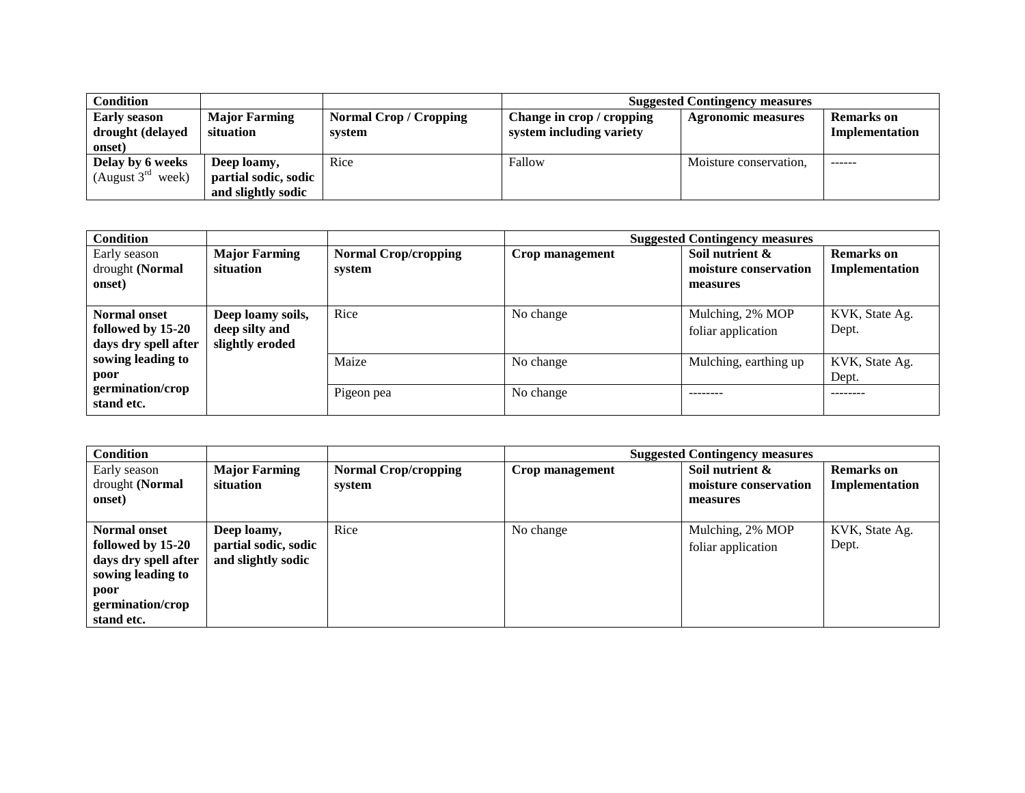| <b>Condition</b>       |                      |                               | <b>Suggested Contingency measures</b> |                           |                   |  |
|------------------------|----------------------|-------------------------------|---------------------------------------|---------------------------|-------------------|--|
| <b>Early season</b>    | <b>Major Farming</b> | <b>Normal Crop / Cropping</b> | Change in crop / cropping             | <b>Agronomic measures</b> | <b>Remarks</b> on |  |
| drought (delayed       | situation            | system                        | system including variety              |                           | Implementation    |  |
| onset)                 |                      |                               |                                       |                           |                   |  |
| Delay by 6 weeks       | Deep loamy,          | Rice                          | Fallow                                | Moisture conservation,    | ------            |  |
| (August $3^{rd}$ week) | partial sodic, sodic |                               |                                       |                           |                   |  |
|                        | and slightly sodic   |                               |                                       |                           |                   |  |

| <b>Condition</b>                                                 |                                                        |                                       |                 | <b>Suggested Contingency measures</b>                |                                     |
|------------------------------------------------------------------|--------------------------------------------------------|---------------------------------------|-----------------|------------------------------------------------------|-------------------------------------|
| Early season<br>drought (Normal<br>onset)                        | <b>Major Farming</b><br>situation                      | <b>Normal Crop/cropping</b><br>system | Crop management | Soil nutrient &<br>moisture conservation<br>measures | <b>Remarks</b> on<br>Implementation |
| <b>Normal onset</b><br>followed by 15-20<br>days dry spell after | Deep loamy soils,<br>deep silty and<br>slightly eroded | Rice                                  | No change       | Mulching, 2% MOP<br>foliar application               | KVK, State Ag.<br>Dept.             |
| sowing leading to<br>poor                                        |                                                        | Maize                                 | No change       | Mulching, earthing up                                | KVK, State Ag.<br>Dept.             |
| germination/crop<br>stand etc.                                   |                                                        | Pigeon pea                            | No change       | --------                                             | --------                            |

| <b>Condition</b>                                                                                                                |                                                           |                                       |                 | <b>Suggested Contingency measures</b>                |                                     |
|---------------------------------------------------------------------------------------------------------------------------------|-----------------------------------------------------------|---------------------------------------|-----------------|------------------------------------------------------|-------------------------------------|
| Early season<br>drought (Normal<br>onset)                                                                                       | <b>Major Farming</b><br>situation                         | <b>Normal Crop/cropping</b><br>system | Crop management | Soil nutrient &<br>moisture conservation<br>measures | <b>Remarks</b> on<br>Implementation |
| <b>Normal onset</b><br>followed by 15-20<br>days dry spell after<br>sowing leading to<br>poor<br>germination/crop<br>stand etc. | Deep loamy,<br>partial sodic, sodic<br>and slightly sodic | Rice                                  | No change       | Mulching, 2% MOP<br>foliar application               | KVK, State Ag.<br>Dept.             |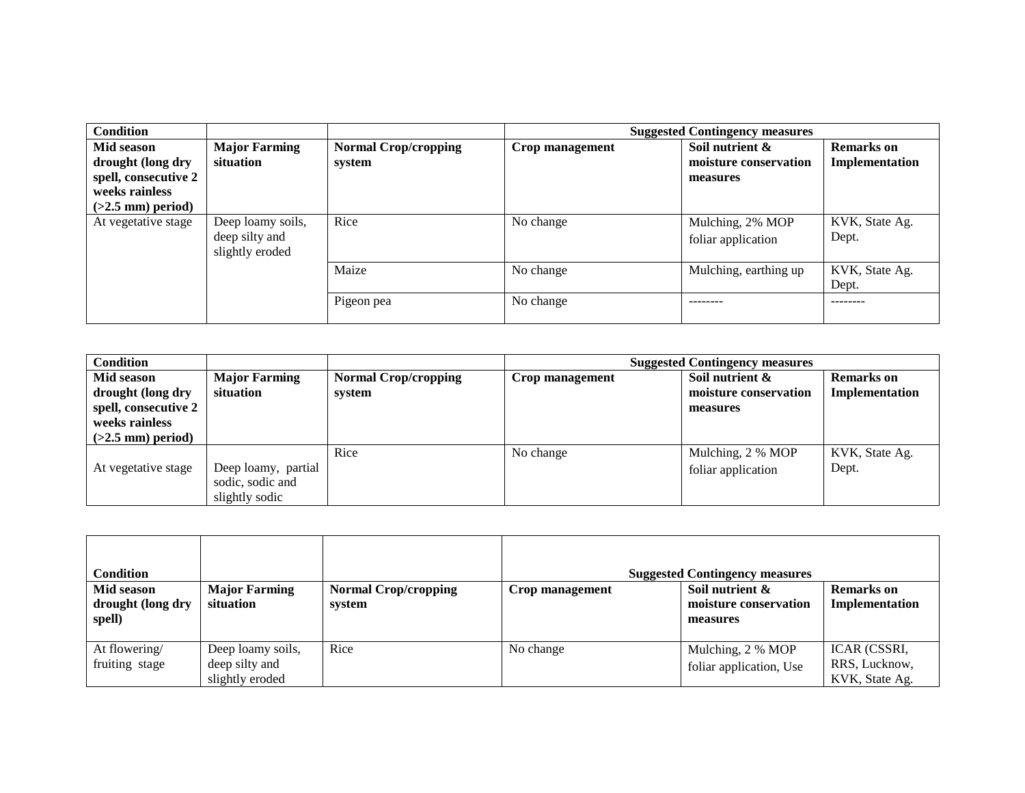| <b>Condition</b>                                                                                 |                                                        |                                       | <b>Suggested Contingency measures</b> |                                                      |                                     |
|--------------------------------------------------------------------------------------------------|--------------------------------------------------------|---------------------------------------|---------------------------------------|------------------------------------------------------|-------------------------------------|
| Mid season<br>drought (long dry<br>spell, consecutive 2<br>weeks rainless<br>$(>2.5$ mm) period) | <b>Major Farming</b><br>situation                      | <b>Normal Crop/cropping</b><br>system | Crop management                       | Soil nutrient &<br>moisture conservation<br>measures | <b>Remarks</b> on<br>Implementation |
| At vegetative stage                                                                              | Deep loamy soils,<br>deep silty and<br>slightly eroded | Rice                                  | No change                             | Mulching, 2% MOP<br>foliar application               | KVK, State Ag.<br>Dept.             |
|                                                                                                  |                                                        | Maize                                 | No change                             | Mulching, earthing up                                | KVK, State Ag.<br>Dept.             |
|                                                                                                  |                                                        | Pigeon pea                            | No change                             |                                                      | --------                            |

| <b>Condition</b>                                                                                 |                                                           |                                       | <b>Suggested Contingency measures</b> |                                                      |                                     |  |
|--------------------------------------------------------------------------------------------------|-----------------------------------------------------------|---------------------------------------|---------------------------------------|------------------------------------------------------|-------------------------------------|--|
| Mid season<br>drought (long dry<br>spell, consecutive 2<br>weeks rainless<br>$(>2.5$ mm) period) | <b>Major Farming</b><br>situation                         | <b>Normal Crop/cropping</b><br>system | Crop management                       | Soil nutrient &<br>moisture conservation<br>measures | <b>Remarks</b> on<br>Implementation |  |
| At vegetative stage                                                                              | Deep loamy, partial<br>sodic, sodic and<br>slightly sodic | Rice                                  | No change                             | Mulching, 2 % MOP<br>foliar application              | KVK, State Ag.<br>Dept.             |  |

| Condition                                 |                                                        |                                       |                 | <b>Suggested Contingency measures</b>                |                                                 |
|-------------------------------------------|--------------------------------------------------------|---------------------------------------|-----------------|------------------------------------------------------|-------------------------------------------------|
| Mid season<br>drought (long dry<br>spell) | <b>Major Farming</b><br>situation                      | <b>Normal Crop/cropping</b><br>system | Crop management | Soil nutrient &<br>moisture conservation<br>measures | <b>Remarks</b> on<br>Implementation             |
| At flowering/<br>fruiting stage           | Deep loamy soils,<br>deep silty and<br>slightly eroded | Rice                                  | No change       | Mulching, 2 % MOP<br>foliar application, Use         | ICAR (CSSRI,<br>RRS, Lucknow,<br>KVK, State Ag. |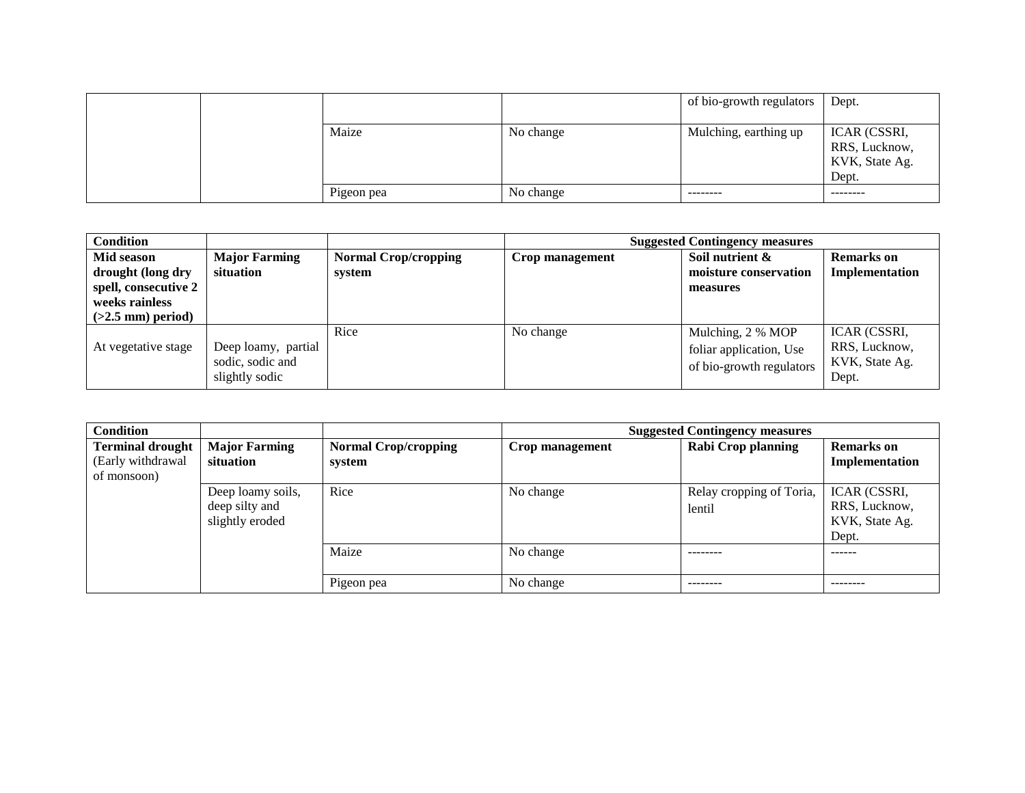|  |            |           | of bio-growth regulators | Dept.                                                    |
|--|------------|-----------|--------------------------|----------------------------------------------------------|
|  | Maize      | No change | Mulching, earthing up    | ICAR (CSSRI,<br>RRS, Lucknow,<br>KVK, State Ag.<br>Dept. |
|  | Pigeon pea | No change | --------                 | --------                                                 |

| <b>Condition</b>                                                                                 |                                                           |                                       | <b>Suggested Contingency measures</b> |                                                                          |                                                          |
|--------------------------------------------------------------------------------------------------|-----------------------------------------------------------|---------------------------------------|---------------------------------------|--------------------------------------------------------------------------|----------------------------------------------------------|
| Mid season<br>drought (long dry<br>spell, consecutive 2<br>weeks rainless<br>$(>2.5$ mm) period) | <b>Major Farming</b><br>situation                         | <b>Normal Crop/cropping</b><br>system | Crop management                       | Soil nutrient &<br>moisture conservation<br>measures                     | <b>Remarks</b> on<br>Implementation                      |
| At vegetative stage                                                                              | Deep loamy, partial<br>sodic, sodic and<br>slightly sodic | Rice                                  | No change                             | Mulching, 2 % MOP<br>foliar application, Use<br>of bio-growth regulators | ICAR (CSSRI,<br>RRS, Lucknow,<br>KVK, State Ag.<br>Dept. |

| <b>Condition</b>                                            |                                                        |                                       |                 | <b>Suggested Contingency measures</b> |                                                          |
|-------------------------------------------------------------|--------------------------------------------------------|---------------------------------------|-----------------|---------------------------------------|----------------------------------------------------------|
| <b>Terminal drought</b><br>(Early withdrawal<br>of monsoon) | <b>Major Farming</b><br>situation                      | <b>Normal Crop/cropping</b><br>system | Crop management | Rabi Crop planning                    | <b>Remarks</b> on<br>Implementation                      |
|                                                             | Deep loamy soils,<br>deep silty and<br>slightly eroded | Rice                                  | No change       | Relay cropping of Toria,<br>lentil    | ICAR (CSSRI,<br>RRS, Lucknow,<br>KVK, State Ag.<br>Dept. |
|                                                             |                                                        | Maize                                 | No change       |                                       | ------                                                   |
|                                                             |                                                        | Pigeon pea                            | No change       | --------                              | --------                                                 |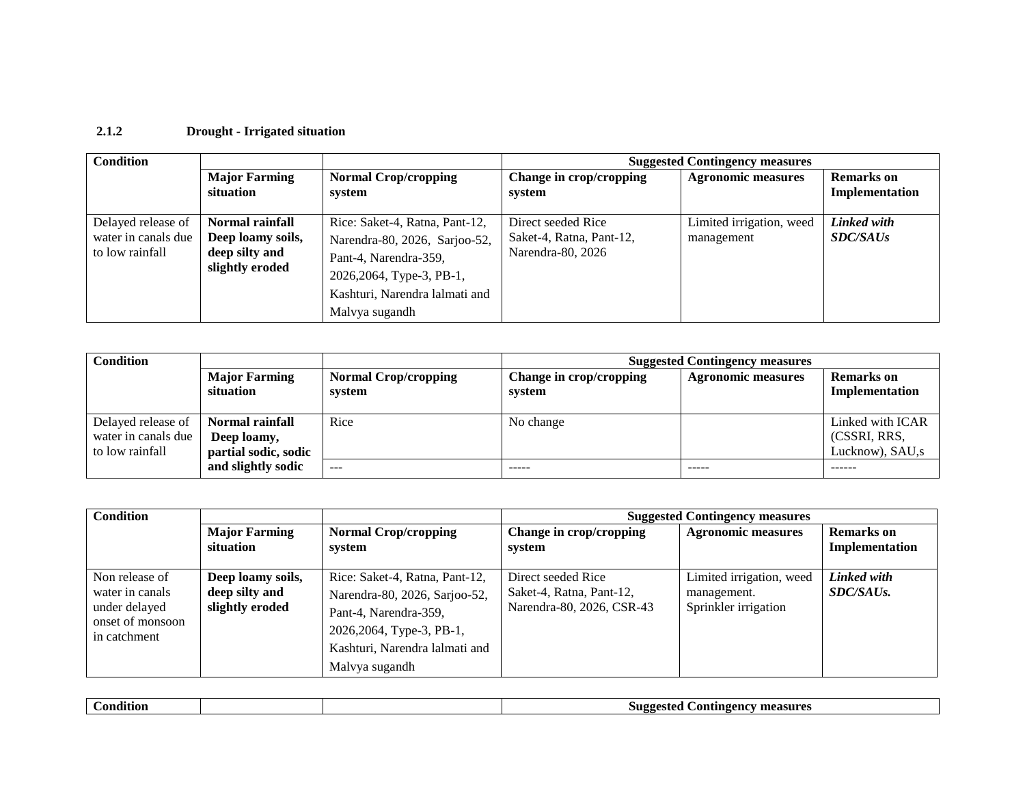#### **2.1.2 Drought - Irrigated situation**

| <b>Condition</b>                                             |                                                                                  |                                                                                                                                                                           |                                                                     | <b>Suggested Contingency measures</b>  |                                     |
|--------------------------------------------------------------|----------------------------------------------------------------------------------|---------------------------------------------------------------------------------------------------------------------------------------------------------------------------|---------------------------------------------------------------------|----------------------------------------|-------------------------------------|
|                                                              | <b>Major Farming</b><br>situation                                                | <b>Normal Crop/cropping</b><br>system                                                                                                                                     | Change in crop/cropping<br>system                                   | <b>Agronomic measures</b>              | <b>Remarks</b> on<br>Implementation |
| Delayed release of<br>water in canals due<br>to low rainfall | <b>Normal rainfall</b><br>Deep loamy soils,<br>deep silty and<br>slightly eroded | Rice: Saket-4, Ratna, Pant-12,<br>Narendra-80, 2026, Sarjoo-52,<br>Pant-4, Narendra-359,<br>2026, 2064, Type-3, PB-1,<br>Kashturi, Narendra lalmati and<br>Malvya sugandh | Direct seeded Rice<br>Saket-4, Ratna, Pant-12,<br>Narendra-80, 2026 | Limited irrigation, weed<br>management | Linked with<br><i>SDC/SAUs</i>      |

| <b>Condition</b>                                             |                                                        |                                       | <b>Suggested Contingency measures</b> |                           |                                                     |  |
|--------------------------------------------------------------|--------------------------------------------------------|---------------------------------------|---------------------------------------|---------------------------|-----------------------------------------------------|--|
|                                                              | <b>Major Farming</b><br>situation                      | <b>Normal Crop/cropping</b><br>system | Change in crop/cropping<br>system     | <b>Agronomic measures</b> | <b>Remarks</b> on<br>Implementation                 |  |
| Delayed release of<br>water in canals due<br>to low rainfall | Normal rainfall<br>Deep loamy,<br>partial sodic, sodic | Rice                                  | No change                             |                           | Linked with ICAR<br>(CSSRI, RRS,<br>Lucknow), SAU,s |  |
|                                                              | and slightly sodic                                     | $\frac{1}{2}$                         | $- - - - -$                           | -----                     | ------                                              |  |

| <b>Condition</b>                                                                       |                                                        |                                                                                                                                                                           | <b>Suggested Contingency measures</b>                                       |                                                                 |                                     |  |
|----------------------------------------------------------------------------------------|--------------------------------------------------------|---------------------------------------------------------------------------------------------------------------------------------------------------------------------------|-----------------------------------------------------------------------------|-----------------------------------------------------------------|-------------------------------------|--|
|                                                                                        | <b>Major Farming</b><br>situation                      | <b>Normal Crop/cropping</b><br>system                                                                                                                                     | Change in crop/cropping<br>system                                           | <b>Agronomic measures</b>                                       | <b>Remarks</b> on<br>Implementation |  |
| Non release of<br>water in canals<br>under delayed<br>onset of monsoon<br>in catchment | Deep loamy soils,<br>deep silty and<br>slightly eroded | Rice: Saket-4, Ratna, Pant-12,<br>Narendra-80, 2026, Sarjoo-52,<br>Pant-4, Narendra-359,<br>2026, 2064, Type-3, PB-1,<br>Kashturi, Narendra lalmati and<br>Malvya sugandh | Direct seeded Rice<br>Saket-4, Ratna, Pant-12,<br>Narendra-80, 2026, CSR-43 | Limited irrigation, weed<br>management.<br>Sprinkler irrigation | Linked with<br>SDC/SAUs.            |  |

| $\bullet$ .<br>`ondition |  | .on<br>™ measu. .<br>noo<br>.<br>,,, |
|--------------------------|--|--------------------------------------|
|                          |  |                                      |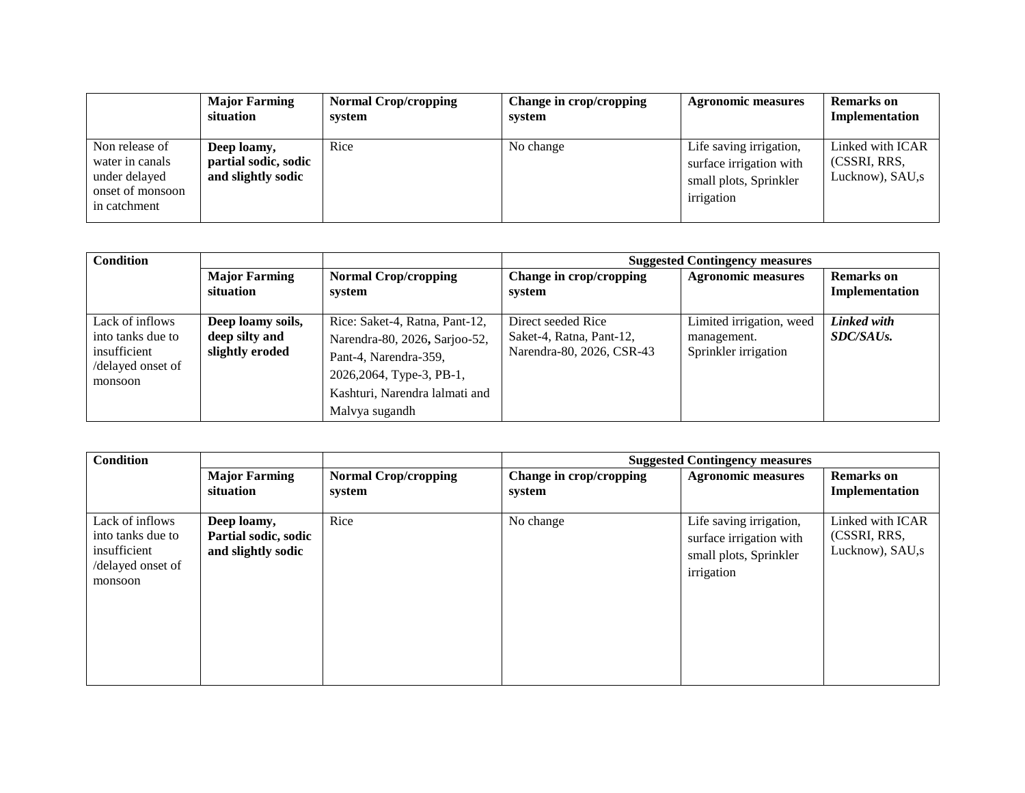|                                                                                        | <b>Major Farming</b><br>situation                         | <b>Normal Crop/cropping</b><br>system | Change in crop/cropping<br>system | <b>Agronomic measures</b>                                                                  | <b>Remarks</b> on<br>Implementation                 |
|----------------------------------------------------------------------------------------|-----------------------------------------------------------|---------------------------------------|-----------------------------------|--------------------------------------------------------------------------------------------|-----------------------------------------------------|
| Non release of<br>water in canals<br>under delayed<br>onset of monsoon<br>in catchment | Deep loamy,<br>partial sodic, sodic<br>and slightly sodic | Rice                                  | No change                         | Life saving irrigation,<br>surface irrigation with<br>small plots, Sprinkler<br>irrigation | Linked with ICAR<br>(CSSRI, RRS.<br>Lucknow), SAU,s |

| <b>Condition</b>                                                                     |                                                        |                                                                                                                                                                           |                                                                             | <b>Suggested Contingency measures</b>                           |                                     |
|--------------------------------------------------------------------------------------|--------------------------------------------------------|---------------------------------------------------------------------------------------------------------------------------------------------------------------------------|-----------------------------------------------------------------------------|-----------------------------------------------------------------|-------------------------------------|
|                                                                                      | <b>Major Farming</b><br>situation                      | <b>Normal Crop/cropping</b><br>system                                                                                                                                     | Change in crop/cropping<br>system                                           | <b>Agronomic measures</b>                                       | <b>Remarks</b> on<br>Implementation |
| Lack of inflows<br>into tanks due to<br>insufficient<br>/delayed onset of<br>monsoon | Deep loamy soils,<br>deep silty and<br>slightly eroded | Rice: Saket-4, Ratna, Pant-12,<br>Narendra-80, 2026, Sarjoo-52,<br>Pant-4, Narendra-359,<br>2026, 2064, Type-3, PB-1,<br>Kashturi, Narendra lalmati and<br>Malvya sugandh | Direct seeded Rice<br>Saket-4, Ratna, Pant-12,<br>Narendra-80, 2026, CSR-43 | Limited irrigation, weed<br>management.<br>Sprinkler irrigation | Linked with<br>SDC/SAUs.            |

| <b>Condition</b>                                                                     |                                                           |                                       |                                   | <b>Suggested Contingency measures</b>                                                      |                                                     |
|--------------------------------------------------------------------------------------|-----------------------------------------------------------|---------------------------------------|-----------------------------------|--------------------------------------------------------------------------------------------|-----------------------------------------------------|
|                                                                                      | <b>Major Farming</b><br>situation                         | <b>Normal Crop/cropping</b><br>system | Change in crop/cropping<br>system | <b>Agronomic measures</b>                                                                  | <b>Remarks</b> on<br>Implementation                 |
| Lack of inflows<br>into tanks due to<br>insufficient<br>/delayed onset of<br>monsoon | Deep loamy,<br>Partial sodic, sodic<br>and slightly sodic | Rice                                  | No change                         | Life saving irrigation,<br>surface irrigation with<br>small plots, Sprinkler<br>irrigation | Linked with ICAR<br>(CSSRI, RRS,<br>Lucknow), SAU,s |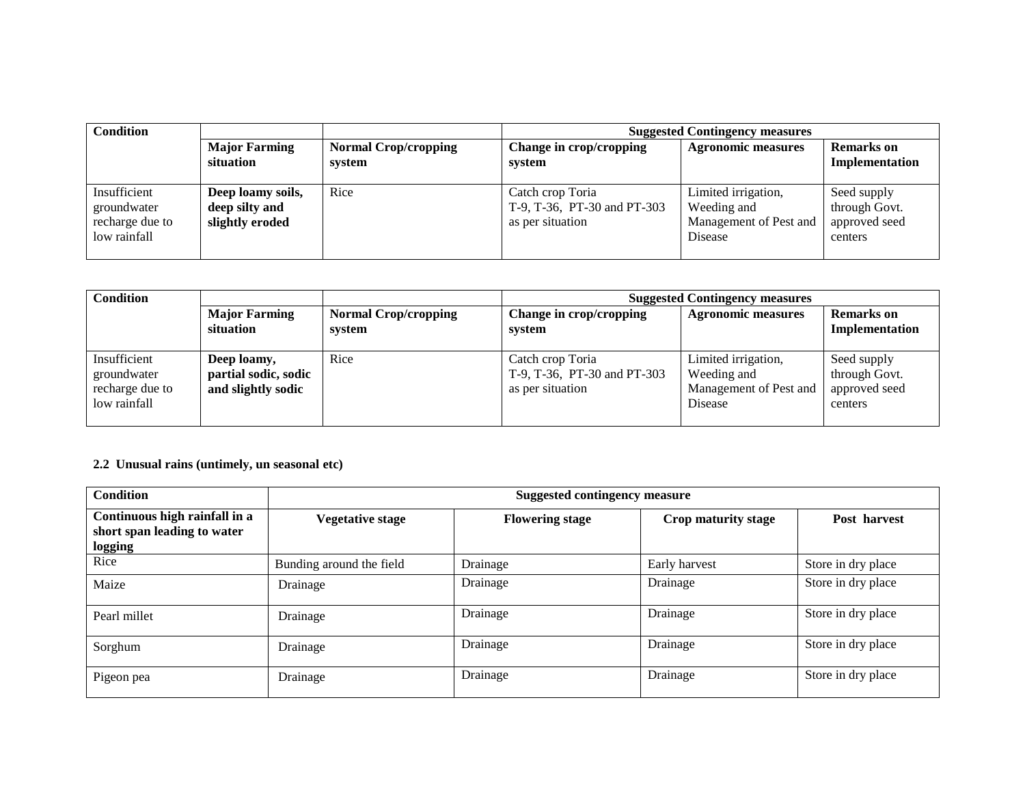| <b>Condition</b>                                               |                                                        |                                       | <b>Suggested Contingency measures</b>                               |                                                                         |                                                          |  |
|----------------------------------------------------------------|--------------------------------------------------------|---------------------------------------|---------------------------------------------------------------------|-------------------------------------------------------------------------|----------------------------------------------------------|--|
|                                                                | <b>Major Farming</b><br>situation                      | <b>Normal Crop/cropping</b><br>system | Change in crop/cropping<br>system                                   | <b>Agronomic measures</b>                                               | <b>Remarks</b> on<br>Implementation                      |  |
| Insufficient<br>groundwater<br>recharge due to<br>low rainfall | Deep loamy soils,<br>deep silty and<br>slightly eroded | Rice                                  | Catch crop Toria<br>T-9, T-36, PT-30 and PT-303<br>as per situation | Limited irrigation,<br>Weeding and<br>Management of Pest and<br>Disease | Seed supply<br>through Govt.<br>approved seed<br>centers |  |

| <b>Condition</b>                                               |                                                           |                                       | <b>Suggested Contingency measures</b>                               |                                                                         |                                                          |  |
|----------------------------------------------------------------|-----------------------------------------------------------|---------------------------------------|---------------------------------------------------------------------|-------------------------------------------------------------------------|----------------------------------------------------------|--|
|                                                                | <b>Major Farming</b><br>situation                         | <b>Normal Crop/cropping</b><br>system | Change in crop/cropping<br>system                                   | <b>Agronomic measures</b>                                               | <b>Remarks</b> on<br>Implementation                      |  |
| Insufficient<br>groundwater<br>recharge due to<br>low rainfall | Deep loamy,<br>partial sodic, sodic<br>and slightly sodic | Rice                                  | Catch crop Toria<br>T-9, T-36, PT-30 and PT-303<br>as per situation | Limited irrigation,<br>Weeding and<br>Management of Pest and<br>Disease | Seed supply<br>through Govt.<br>approved seed<br>centers |  |

# **2.2 Unusual rains (untimely, un seasonal etc)**

| <b>Condition</b>                                                        | <b>Suggested contingency measure</b> |                        |                     |                    |  |  |
|-------------------------------------------------------------------------|--------------------------------------|------------------------|---------------------|--------------------|--|--|
| Continuous high rainfall in a<br>short span leading to water<br>logging | Vegetative stage                     | <b>Flowering stage</b> | Crop maturity stage | Post harvest       |  |  |
| Rice                                                                    | Bunding around the field             | Drainage               | Early harvest       | Store in dry place |  |  |
| Maize                                                                   | Drainage                             | Drainage               | Drainage            | Store in dry place |  |  |
| Pearl millet                                                            | Drainage                             | Drainage               | Drainage            | Store in dry place |  |  |
| Sorghum                                                                 | Drainage                             | Drainage               | Drainage            | Store in dry place |  |  |
| Pigeon pea                                                              | Drainage                             | Drainage               | Drainage            | Store in dry place |  |  |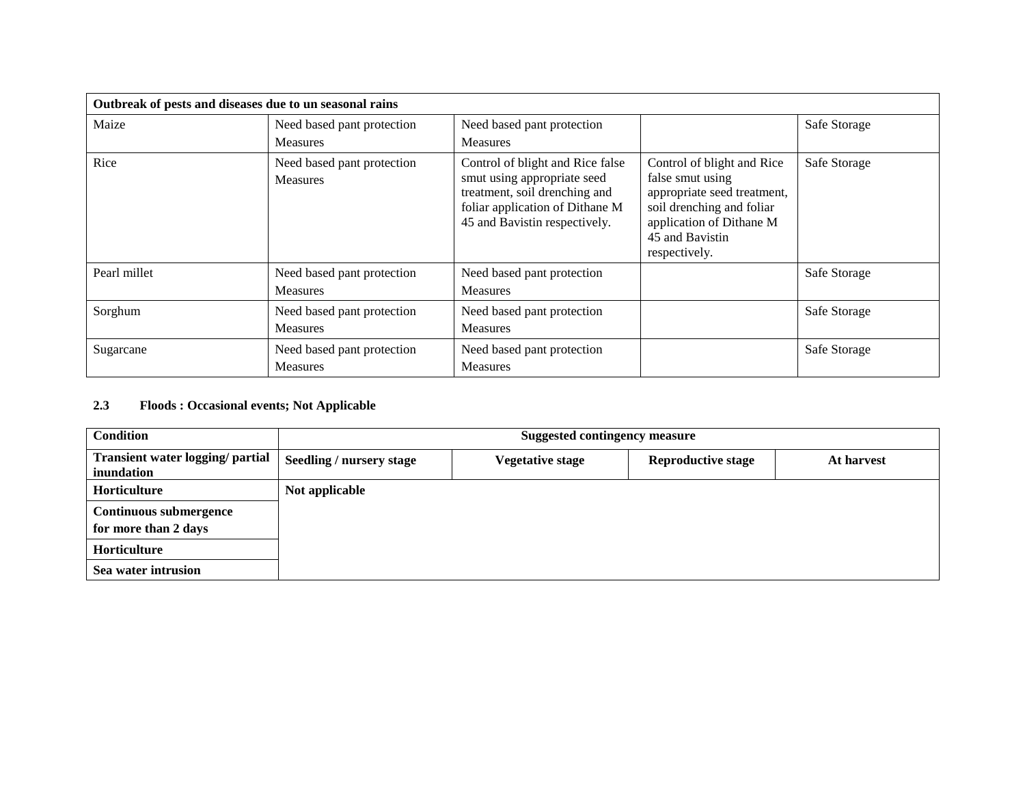| Outbreak of pests and diseases due to un seasonal rains |                                               |                                                                                                                                                                      |                                                                                                                                                                            |              |
|---------------------------------------------------------|-----------------------------------------------|----------------------------------------------------------------------------------------------------------------------------------------------------------------------|----------------------------------------------------------------------------------------------------------------------------------------------------------------------------|--------------|
| Maize                                                   | Need based pant protection                    | Need based pant protection                                                                                                                                           |                                                                                                                                                                            | Safe Storage |
|                                                         | <b>Measures</b>                               | <b>Measures</b>                                                                                                                                                      |                                                                                                                                                                            |              |
| Rice                                                    | Need based pant protection<br><b>Measures</b> | Control of blight and Rice false<br>smut using appropriate seed<br>treatment, soil drenching and<br>foliar application of Dithane M<br>45 and Bavistin respectively. | Control of blight and Rice<br>false smut using<br>appropriate seed treatment,<br>soil drenching and foliar<br>application of Dithane M<br>45 and Bavistin<br>respectively. | Safe Storage |
| Pearl millet                                            | Need based pant protection<br><b>Measures</b> | Need based pant protection<br>Measures                                                                                                                               |                                                                                                                                                                            | Safe Storage |
| Sorghum                                                 | Need based pant protection<br><b>Measures</b> | Need based pant protection<br><b>Measures</b>                                                                                                                        |                                                                                                                                                                            | Safe Storage |
| Sugarcane                                               | Need based pant protection<br><b>Measures</b> | Need based pant protection<br><b>Measures</b>                                                                                                                        |                                                                                                                                                                            | Safe Storage |

#### **2.3 Floods : Occasional events; Not Applicable**

| <b>Condition</b>                                      | <b>Suggested contingency measure</b> |                         |                           |            |
|-------------------------------------------------------|--------------------------------------|-------------------------|---------------------------|------------|
| <b>Transient water logging/ partial</b><br>inundation | <b>Seedling / nursery stage</b>      | <b>Vegetative stage</b> | <b>Reproductive stage</b> | At harvest |
| <b>Horticulture</b>                                   | Not applicable                       |                         |                           |            |
| <b>Continuous submergence</b><br>for more than 2 days |                                      |                         |                           |            |
| <b>Horticulture</b>                                   |                                      |                         |                           |            |
| Sea water intrusion                                   |                                      |                         |                           |            |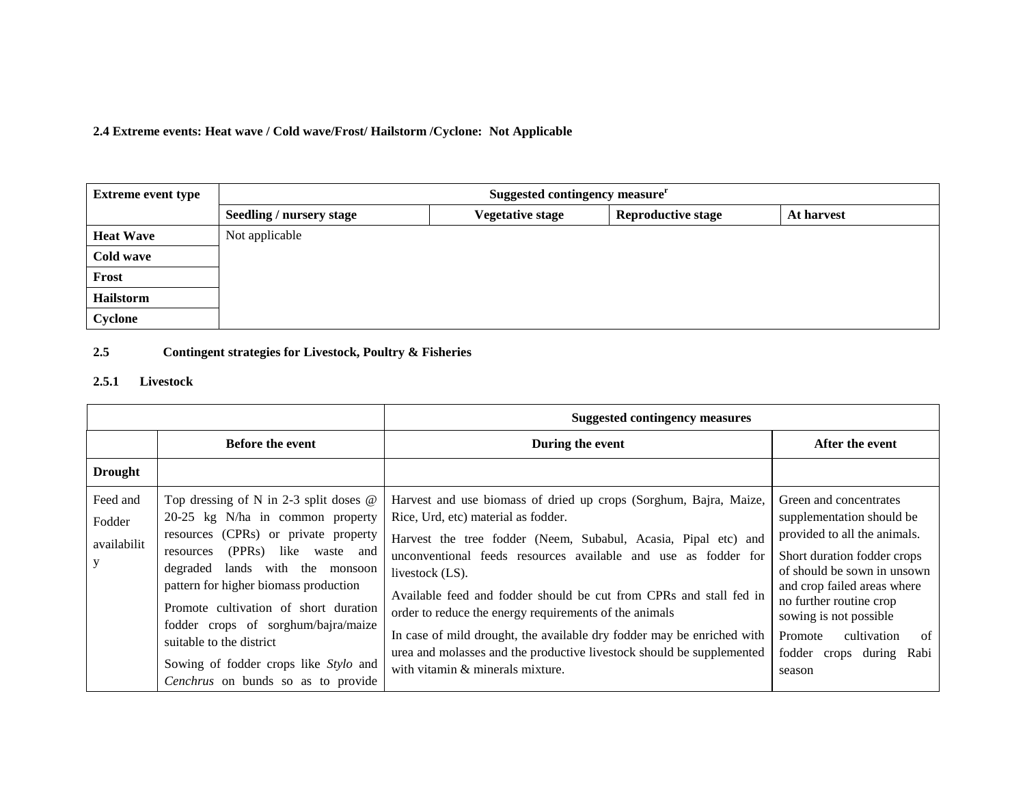**2.4 Extreme events: Heat wave / Cold wave/Frost/ Hailstorm /Cyclone: Not Applicable**

| <b>Extreme event type</b> | Suggested contingency measure <sup>r</sup> |                         |                           |            |
|---------------------------|--------------------------------------------|-------------------------|---------------------------|------------|
|                           | Seedling / nursery stage                   | <b>Vegetative stage</b> | <b>Reproductive stage</b> | At harvest |
| <b>Heat Wave</b>          | Not applicable                             |                         |                           |            |
| Cold wave                 |                                            |                         |                           |            |
| Frost                     |                                            |                         |                           |            |
| Hailstorm                 |                                            |                         |                           |            |
| Cyclone                   |                                            |                         |                           |            |

### **2.5 Contingent strategies for Livestock, Poultry & Fisheries**

#### **2.5.1 Livestock**

|                                        |                                                                                                                                                                                                                                                                                                                                                                                                                                                         | <b>Suggested contingency measures</b>                                                                                                                                                                                                                                                                                                                                                                                                                                                                                                                                                  |                                                                                                                                                                                                                                                                                                                 |  |
|----------------------------------------|---------------------------------------------------------------------------------------------------------------------------------------------------------------------------------------------------------------------------------------------------------------------------------------------------------------------------------------------------------------------------------------------------------------------------------------------------------|----------------------------------------------------------------------------------------------------------------------------------------------------------------------------------------------------------------------------------------------------------------------------------------------------------------------------------------------------------------------------------------------------------------------------------------------------------------------------------------------------------------------------------------------------------------------------------------|-----------------------------------------------------------------------------------------------------------------------------------------------------------------------------------------------------------------------------------------------------------------------------------------------------------------|--|
|                                        | <b>Before the event</b>                                                                                                                                                                                                                                                                                                                                                                                                                                 | During the event                                                                                                                                                                                                                                                                                                                                                                                                                                                                                                                                                                       | After the event                                                                                                                                                                                                                                                                                                 |  |
| <b>Drought</b>                         |                                                                                                                                                                                                                                                                                                                                                                                                                                                         |                                                                                                                                                                                                                                                                                                                                                                                                                                                                                                                                                                                        |                                                                                                                                                                                                                                                                                                                 |  |
| Feed and<br>Fodder<br>availabilit<br>y | Top dressing of N in 2-3 split doses $@$<br>20-25 kg N/ha in common property<br>resources (CPRs) or private property<br>(PPR <sub>s</sub> )<br>like<br>waste and<br>resources<br>degraded<br>lands with the monsoon<br>pattern for higher biomass production<br>Promote cultivation of short duration<br>fodder crops of sorghum/bajra/maize<br>suitable to the district<br>Sowing of fodder crops like Stylo and<br>Cenchrus on bunds so as to provide | Harvest and use biomass of dried up crops (Sorghum, Bajra, Maize,<br>Rice, Urd, etc) material as fodder.<br>Harvest the tree fodder (Neem, Subabul, Acasia, Pipal etc) and<br>unconventional feeds resources available and use as fodder for<br>livestock (LS).<br>Available feed and fodder should be cut from CPRs and stall fed in<br>order to reduce the energy requirements of the animals<br>In case of mild drought, the available dry fodder may be enriched with<br>urea and molasses and the productive livestock should be supplemented<br>with vitamin & minerals mixture. | Green and concentrates<br>supplementation should be<br>provided to all the animals.<br>Short duration fodder crops<br>of should be sown in unsown<br>and crop failed areas where<br>no further routine crop<br>sowing is not possible<br>cultivation<br>-of<br>Promote<br>fodder crops during<br>Rabi<br>season |  |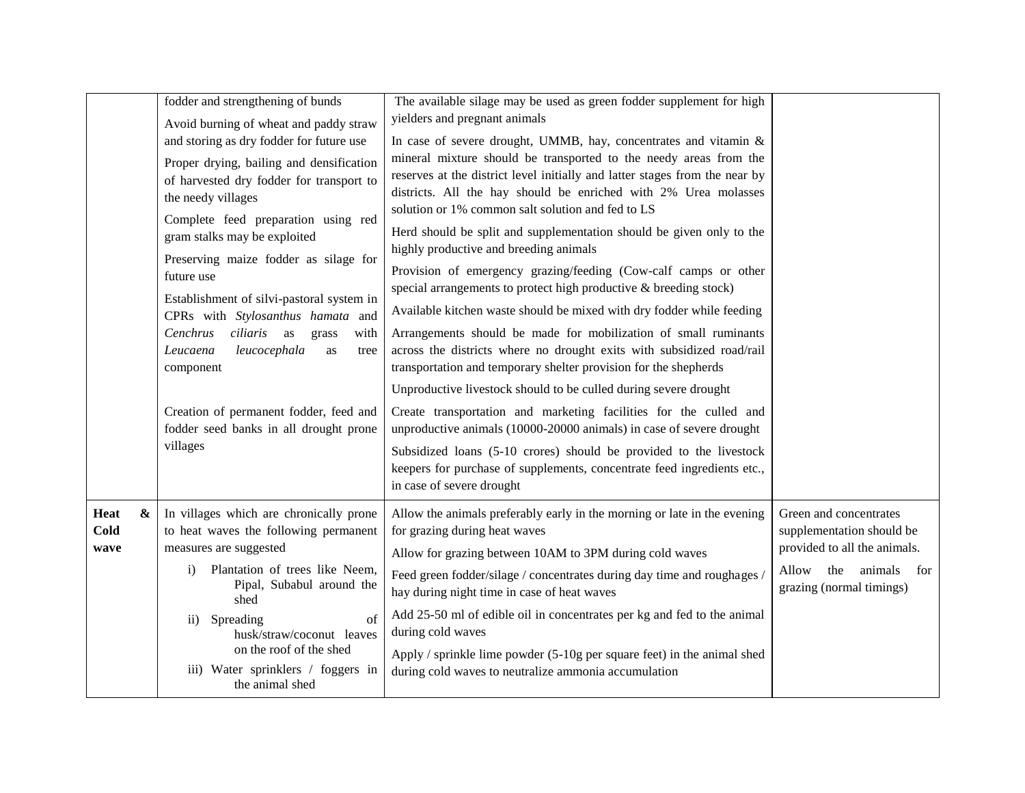|                  | fodder and strengthening of bunds                                                | The available silage may be used as green fodder supplement for high                                                                      |                              |
|------------------|----------------------------------------------------------------------------------|-------------------------------------------------------------------------------------------------------------------------------------------|------------------------------|
|                  | Avoid burning of wheat and paddy straw                                           | yielders and pregnant animals                                                                                                             |                              |
|                  | and storing as dry fodder for future use                                         | In case of severe drought, UMMB, hay, concentrates and vitamin &                                                                          |                              |
|                  | Proper drying, bailing and densification                                         | mineral mixture should be transported to the needy areas from the                                                                         |                              |
|                  | of harvested dry fodder for transport to                                         | reserves at the district level initially and latter stages from the near by                                                               |                              |
|                  | the needy villages                                                               | districts. All the hay should be enriched with 2% Urea molasses                                                                           |                              |
|                  | Complete feed preparation using red                                              | solution or 1% common salt solution and fed to LS                                                                                         |                              |
|                  | gram stalks may be exploited                                                     | Herd should be split and supplementation should be given only to the                                                                      |                              |
|                  | Preserving maize fodder as silage for                                            | highly productive and breeding animals                                                                                                    |                              |
|                  | future use                                                                       | Provision of emergency grazing/feeding (Cow-calf camps or other                                                                           |                              |
|                  |                                                                                  | special arrangements to protect high productive & breeding stock)                                                                         |                              |
|                  | Establishment of silvi-pastoral system in<br>CPRs with Stylosanthus hamata and   | Available kitchen waste should be mixed with dry fodder while feeding                                                                     |                              |
|                  | ciliaris as<br>Cenchrus<br>grass<br>with                                         | Arrangements should be made for mobilization of small ruminants                                                                           |                              |
|                  | leucocephala<br>Leucaena<br>as<br>tree                                           | across the districts where no drought exits with subsidized road/rail                                                                     |                              |
|                  | component                                                                        | transportation and temporary shelter provision for the shepherds                                                                          |                              |
|                  |                                                                                  | Unproductive livestock should to be culled during severe drought                                                                          |                              |
|                  |                                                                                  |                                                                                                                                           |                              |
|                  | Creation of permanent fodder, feed and<br>fodder seed banks in all drought prone | Create transportation and marketing facilities for the culled and<br>unproductive animals (10000-20000 animals) in case of severe drought |                              |
|                  | villages                                                                         |                                                                                                                                           |                              |
|                  |                                                                                  | Subsidized loans (5-10 crores) should be provided to the livestock                                                                        |                              |
|                  |                                                                                  | keepers for purchase of supplements, concentrate feed ingredients etc.,<br>in case of severe drought                                      |                              |
|                  |                                                                                  |                                                                                                                                           |                              |
| &<br><b>Heat</b> | In villages which are chronically prone                                          | Allow the animals preferably early in the morning or late in the evening                                                                  | Green and concentrates       |
| Cold             | to heat waves the following permanent                                            | for grazing during heat waves                                                                                                             | supplementation should be    |
| wave             | measures are suggested                                                           | Allow for grazing between 10AM to 3PM during cold waves                                                                                   | provided to all the animals. |
|                  | Plantation of trees like Neem,<br>$\ddot{1}$                                     | Feed green fodder/silage / concentrates during day time and roughages /                                                                   | Allow<br>the animals for     |
|                  | Pipal, Subabul around the                                                        | hay during night time in case of heat waves                                                                                               | grazing (normal timings)     |
|                  | shed                                                                             | Add 25-50 ml of edible oil in concentrates per kg and fed to the animal                                                                   |                              |
|                  | Spreading<br>$\sigma$ f<br>$\mathbf{ii}$<br>husk/straw/coconut leaves            | during cold waves                                                                                                                         |                              |
|                  | on the roof of the shed                                                          | Apply / sprinkle lime powder $(5-10)$ g per square feet) in the animal shed                                                               |                              |
|                  | iii) Water sprinklers / foggers in                                               | during cold waves to neutralize ammonia accumulation                                                                                      |                              |
|                  | the animal shed                                                                  |                                                                                                                                           |                              |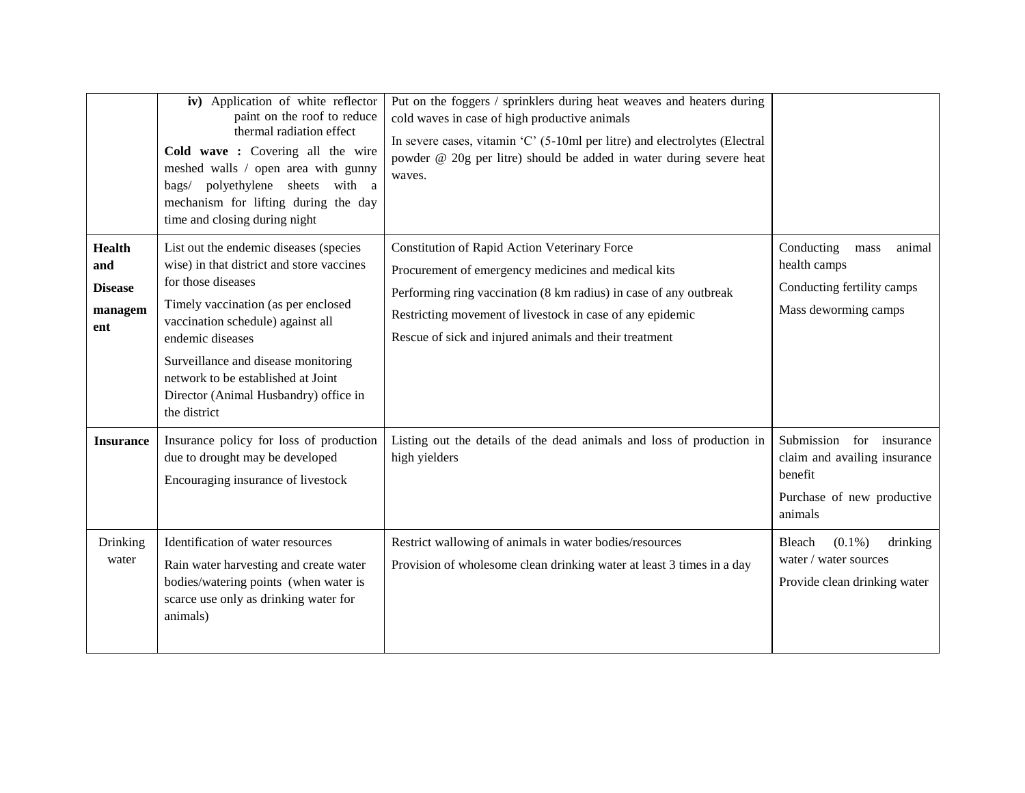|                                                          | iv) Application of white reflector<br>paint on the roof to reduce<br>thermal radiation effect<br>Cold wave : Covering all the wire<br>meshed walls / open area with gunny<br>bags/ polyethylene sheets with a<br>mechanism for lifting during the day<br>time and closing during night                                                          | Put on the foggers / sprinklers during heat weaves and heaters during<br>cold waves in case of high productive animals<br>In severe cases, vitamin 'C' (5-10ml per litre) and electrolytes (Electral<br>powder @ 20g per litre) should be added in water during severe heat<br>waves.            |                                                                                                              |
|----------------------------------------------------------|-------------------------------------------------------------------------------------------------------------------------------------------------------------------------------------------------------------------------------------------------------------------------------------------------------------------------------------------------|--------------------------------------------------------------------------------------------------------------------------------------------------------------------------------------------------------------------------------------------------------------------------------------------------|--------------------------------------------------------------------------------------------------------------|
| <b>Health</b><br>and<br><b>Disease</b><br>managem<br>ent | List out the endemic diseases (species<br>wise) in that district and store vaccines<br>for those diseases<br>Timely vaccination (as per enclosed<br>vaccination schedule) against all<br>endemic diseases<br>Surveillance and disease monitoring<br>network to be established at Joint<br>Director (Animal Husbandry) office in<br>the district | Constitution of Rapid Action Veterinary Force<br>Procurement of emergency medicines and medical kits<br>Performing ring vaccination (8 km radius) in case of any outbreak<br>Restricting movement of livestock in case of any epidemic<br>Rescue of sick and injured animals and their treatment | Conducting<br>animal<br>mass<br>health camps<br>Conducting fertility camps<br>Mass deworming camps           |
| <b>Insurance</b>                                         | Insurance policy for loss of production<br>due to drought may be developed<br>Encouraging insurance of livestock                                                                                                                                                                                                                                | Listing out the details of the dead animals and loss of production in<br>high yielders                                                                                                                                                                                                           | Submission for insurance<br>claim and availing insurance<br>benefit<br>Purchase of new productive<br>animals |
| Drinking<br>water                                        | Identification of water resources<br>Rain water harvesting and create water<br>bodies/watering points (when water is<br>scarce use only as drinking water for<br>animals)                                                                                                                                                                       | Restrict wallowing of animals in water bodies/resources<br>Provision of wholesome clean drinking water at least 3 times in a day                                                                                                                                                                 | $(0.1\%)$<br>Bleach<br>drinking<br>water / water sources<br>Provide clean drinking water                     |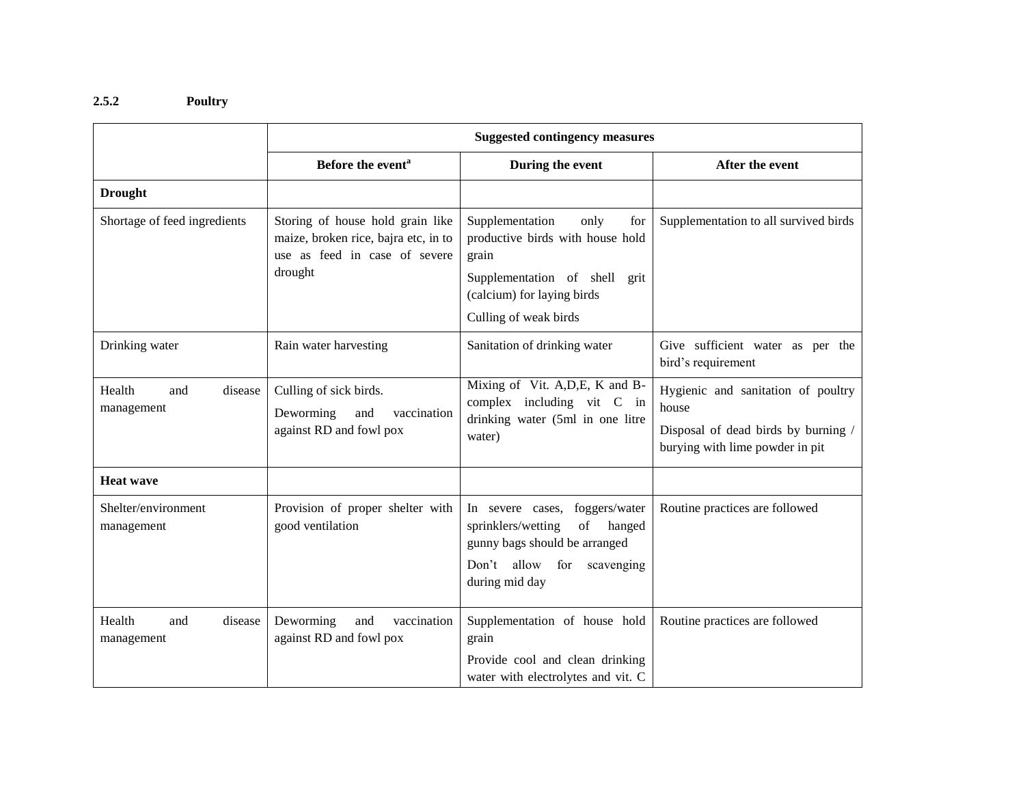# **2.5.2 Poultry**

|                                        | <b>Suggested contingency measures</b>                                                                                |                                                                                                                                                                     |                                                                                                                       |  |
|----------------------------------------|----------------------------------------------------------------------------------------------------------------------|---------------------------------------------------------------------------------------------------------------------------------------------------------------------|-----------------------------------------------------------------------------------------------------------------------|--|
|                                        | Before the event <sup>a</sup>                                                                                        | During the event                                                                                                                                                    | After the event                                                                                                       |  |
| <b>Drought</b>                         |                                                                                                                      |                                                                                                                                                                     |                                                                                                                       |  |
| Shortage of feed ingredients           | Storing of house hold grain like<br>maize, broken rice, bajra etc, in to<br>use as feed in case of severe<br>drought | Supplementation<br>only<br>for<br>productive birds with house hold<br>grain<br>Supplementation of shell grit<br>(calcium) for laying birds<br>Culling of weak birds | Supplementation to all survived birds                                                                                 |  |
| Drinking water                         | Rain water harvesting                                                                                                | Sanitation of drinking water                                                                                                                                        | Give sufficient water as per the<br>bird's requirement                                                                |  |
| Health<br>disease<br>and<br>management | Culling of sick birds.<br>Deworming<br>and<br>vaccination<br>against RD and fowl pox                                 | Mixing of Vit. A, D, E, K and B-<br>complex including vit C in<br>drinking water (5ml in one litre<br>water)                                                        | Hygienic and sanitation of poultry<br>house<br>Disposal of dead birds by burning /<br>burying with lime powder in pit |  |
| <b>Heat wave</b>                       |                                                                                                                      |                                                                                                                                                                     |                                                                                                                       |  |
| Shelter/environment<br>management      | Provision of proper shelter with<br>good ventilation                                                                 | foggers/water<br>In severe cases,<br>sprinklers/wetting<br>of<br>hanged<br>gunny bags should be arranged<br>Don't allow for<br>scavenging<br>during mid day         | Routine practices are followed                                                                                        |  |
| Health<br>disease<br>and<br>management | Deworming<br>vaccination<br>and<br>against RD and fowl pox                                                           | Supplementation of house hold<br>grain<br>Provide cool and clean drinking<br>water with electrolytes and vit. C                                                     | Routine practices are followed                                                                                        |  |